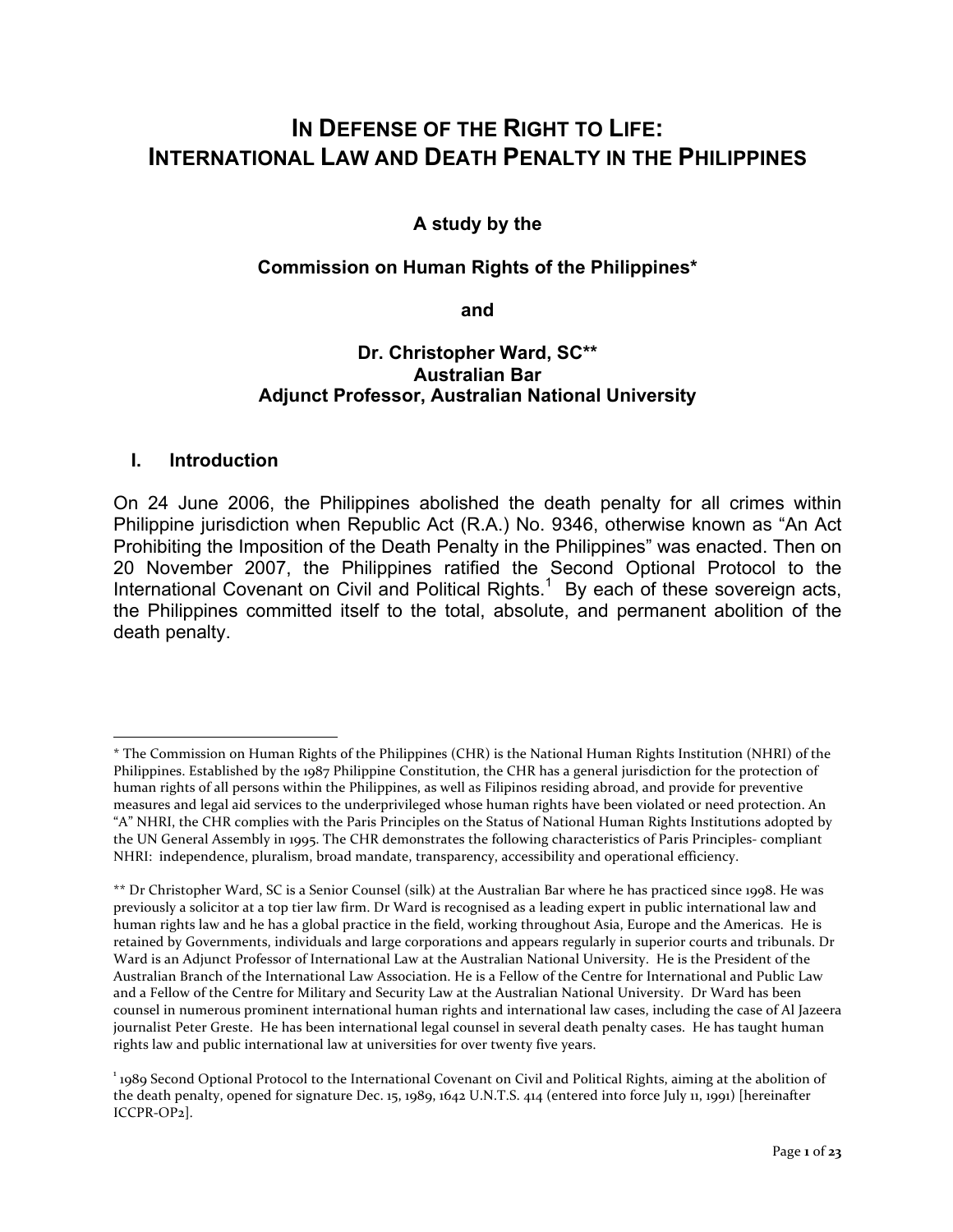# **IN DEFENSE OF THE RIGHT TO LIFE: INTERNATIONAL LAW AND DEATH PENALTY IN THE PHILIPPINES**

## **A study by the**

#### **Commission on Human Rights of the Philippines\***

#### **and**

## **Dr. Christopher Ward, SC\*\* Australian Bar Adjunct Professor, Australian National University**

#### **I. Introduction**

On 24 June 2006, the Philippines abolished the death penalty for all crimes within Philippine jurisdiction when Republic Act (R.A.) No. 9346, otherwise known as "An Act Prohibiting the Imposition of the Death Penalty in the Philippines" was enacted. Then on 20 November 2007, the Philippines ratified the Second Optional Protocol to the International Covenant on Civil and Political Rights.<sup>1</sup> By each of these sovereign acts, the Philippines committed itself to the total, absolute, and permanent abolition of the death penalty.

<sup>1</sup> \* The Commission on Human Rights of the Philippines (CHR) is the National Human Rights Institution (NHRI) of the Philippines. Established by the 1987 Philippine Constitution, the CHR has a general jurisdiction for the protection of human rights of all persons within the Philippines, as well as Filipinos residing abroad, and provide for preventive measures and legal aid services to the underprivileged whose human rights have been violated or need protection. An "A" NHRI, the CHR complies with the Paris Principles on the Status of National Human Rights Institutions adopted by the UN General Assembly in 1995. The CHR demonstrates the following characteristics of Paris Principles- compliant NHRI: independence, pluralism, broad mandate, transparency, accessibility and operational efficiency.

<sup>\*\*</sup> Dr Christopher Ward, SC is a Senior Counsel (silk) at the Australian Bar where he has practiced since 1998. He was previously a solicitor at a top tier law firm. Dr Ward is recognised as a leading expert in public international law and human rights law and he has a global practice in the field, working throughout Asia, Europe and the Americas. He is retained by Governments, individuals and large corporations and appears regularly in superior courts and tribunals. Dr Ward is an Adjunct Professor of International Law at the Australian National University. He is the President of the Australian Branch of the International Law Association. He is a Fellow of the Centre for International and Public Law and a Fellow of the Centre for Military and Security Law at the Australian National University. Dr Ward has been counsel in numerous prominent international human rights and international law cases, including the case of Al Jazeera journalist Peter Greste. He has been international legal counsel in several death penalty cases. He has taught human rights law and public international law at universities for over twenty five years.

<sup>&</sup>lt;sup>1</sup> 1989 Second Optional Protocol to the International Covenant on Civil and Political Rights, aiming at the abolition of the death penalty, opened for signature Dec. 15, 1989, 1642 U.N.T.S. 414 (entered into force July 11, 1991) [hereinafter ICCPR-OP2].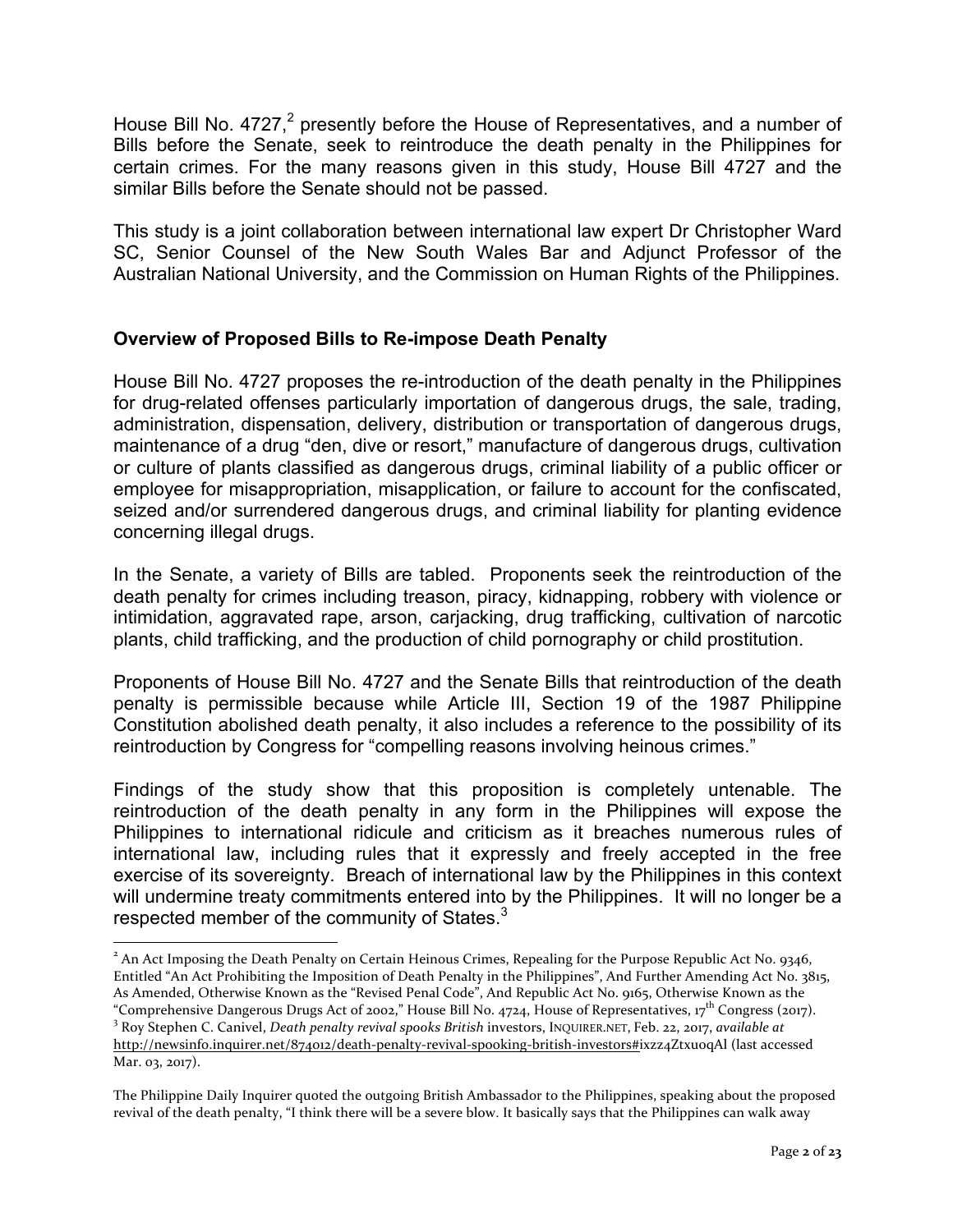House Bill No.  $4727<sup>2</sup>$  presently before the House of Representatives, and a number of Bills before the Senate, seek to reintroduce the death penalty in the Philippines for certain crimes. For the many reasons given in this study, House Bill 4727 and the similar Bills before the Senate should not be passed.

This study is a joint collaboration between international law expert Dr Christopher Ward SC, Senior Counsel of the New South Wales Bar and Adjunct Professor of the Australian National University, and the Commission on Human Rights of the Philippines.

## **Overview of Proposed Bills to Re-impose Death Penalty**

House Bill No. 4727 proposes the re-introduction of the death penalty in the Philippines for drug-related offenses particularly importation of dangerous drugs, the sale, trading, administration, dispensation, delivery, distribution or transportation of dangerous drugs, maintenance of a drug "den, dive or resort," manufacture of dangerous drugs, cultivation or culture of plants classified as dangerous drugs, criminal liability of a public officer or employee for misappropriation, misapplication, or failure to account for the confiscated, seized and/or surrendered dangerous drugs, and criminal liability for planting evidence concerning illegal drugs.

In the Senate, a variety of Bills are tabled. Proponents seek the reintroduction of the death penalty for crimes including treason, piracy, kidnapping, robbery with violence or intimidation, aggravated rape, arson, carjacking, drug trafficking, cultivation of narcotic plants, child trafficking, and the production of child pornography or child prostitution.

Proponents of House Bill No. 4727 and the Senate Bills that reintroduction of the death penalty is permissible because while Article III, Section 19 of the 1987 Philippine Constitution abolished death penalty, it also includes a reference to the possibility of its reintroduction by Congress for "compelling reasons involving heinous crimes."

Findings of the study show that this proposition is completely untenable. The reintroduction of the death penalty in any form in the Philippines will expose the Philippines to international ridicule and criticism as it breaches numerous rules of international law, including rules that it expressly and freely accepted in the free exercise of its sovereignty. Breach of international law by the Philippines in this context will undermine treaty commitments entered into by the Philippines. It will no longer be a respected member of the community of States.<sup>3</sup>

<sup>&</sup>lt;sup>2</sup> An Act Imposing the Death Penalty on Certain Heinous Crimes, Repealing for the Purpose Republic Act No. 9346, Entitled "An Act Prohibiting the Imposition of Death Penalty in the Philippines", And Further Amending Act No. 3815, As Amended, Otherwise Known as the "Revised Penal Code", And Republic Act No. 9165, Otherwise Known as the "Comprehensive Dangerous Drugs Act of 2002," House Bill No. 4724, House of Representatives, 17<sup>th</sup> Congress (2017).<br><sup>3</sup> Roy Stephen C. Canivel, *Death penalty revival spooks British* investors, INOUIRER.NET, Feb. 22, 2017, http://newsinfo.inquirer.net/874012/death-penalty-revival-spooking-british-investors#ixzz4Ztxu0qAl (last accessed Mar. 03, 2017).

The Philippine Daily Inquirer quoted the outgoing British Ambassador to the Philippines, speaking about the proposed revival of the death penalty, "I think there will be a severe blow. It basically says that the Philippines can walk away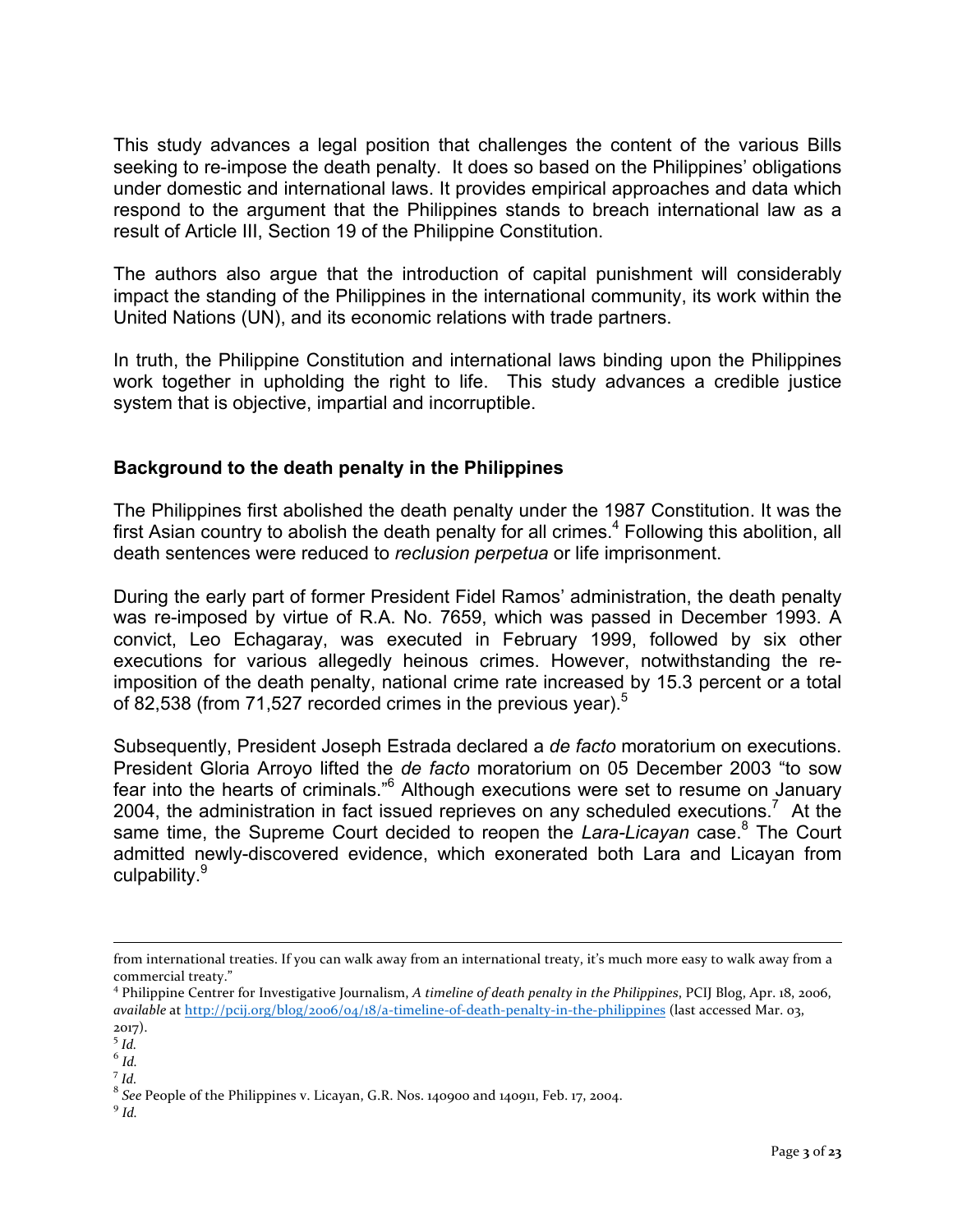This study advances a legal position that challenges the content of the various Bills seeking to re-impose the death penalty. It does so based on the Philippines' obligations under domestic and international laws. It provides empirical approaches and data which respond to the argument that the Philippines stands to breach international law as a result of Article III, Section 19 of the Philippine Constitution.

The authors also argue that the introduction of capital punishment will considerably impact the standing of the Philippines in the international community, its work within the United Nations (UN), and its economic relations with trade partners.

In truth, the Philippine Constitution and international laws binding upon the Philippines work together in upholding the right to life. This study advances a credible justice system that is objective, impartial and incorruptible.

## **Background to the death penalty in the Philippines**

The Philippines first abolished the death penalty under the 1987 Constitution. It was the first Asian country to abolish the death penalty for all crimes.<sup>4</sup> Following this abolition, all death sentences were reduced to *reclusion perpetua* or life imprisonment.

During the early part of former President Fidel Ramos' administration, the death penalty was re-imposed by virtue of R.A. No. 7659, which was passed in December 1993. A convict, Leo Echagaray, was executed in February 1999, followed by six other executions for various allegedly heinous crimes. However, notwithstanding the reimposition of the death penalty, national crime rate increased by 15.3 percent or a total of 82,538 (from 71,527 recorded crimes in the previous year).<sup>5</sup>

Subsequently, President Joseph Estrada declared a *de facto* moratorium on executions. President Gloria Arroyo lifted the *de facto* moratorium on 05 December 2003 "to sow fear into the hearts of criminals."<sup>6</sup> Although executions were set to resume on January 2004, the administration in fact issued reprieves on any scheduled executions.<sup>7</sup> At the same time, the Supreme Court decided to reopen the *Lara-Licayan* case. <sup>8</sup> The Court admitted newly-discovered evidence, which exonerated both Lara and Licayan from culpability.<sup>9</sup>

<sup>7</sup> *Id.*

from international treaties. If you can walk away from an international treaty, it's much more easy to walk away from a commercial treaty."

<sup>&</sup>lt;sup>4</sup> Philippine Centrer for Investigative Journalism, *A timeline of death penalty in the Philippines*, PCIJ Blog, Apr. 18, 2006, *available* at http://pcij.org/blog/2006/04/18/a-timeline-of-death-penalty-in-the-philippines (last accessed Mar. 03, 2017).

<sup>5</sup> *Id.*

 $^6$   $\mathit{Id.}$ 

 $^8$  See People of the Philippines v. Licayan, G.R. Nos. 140900 and 140911, Feb. 17, 2004. 9 *Id.*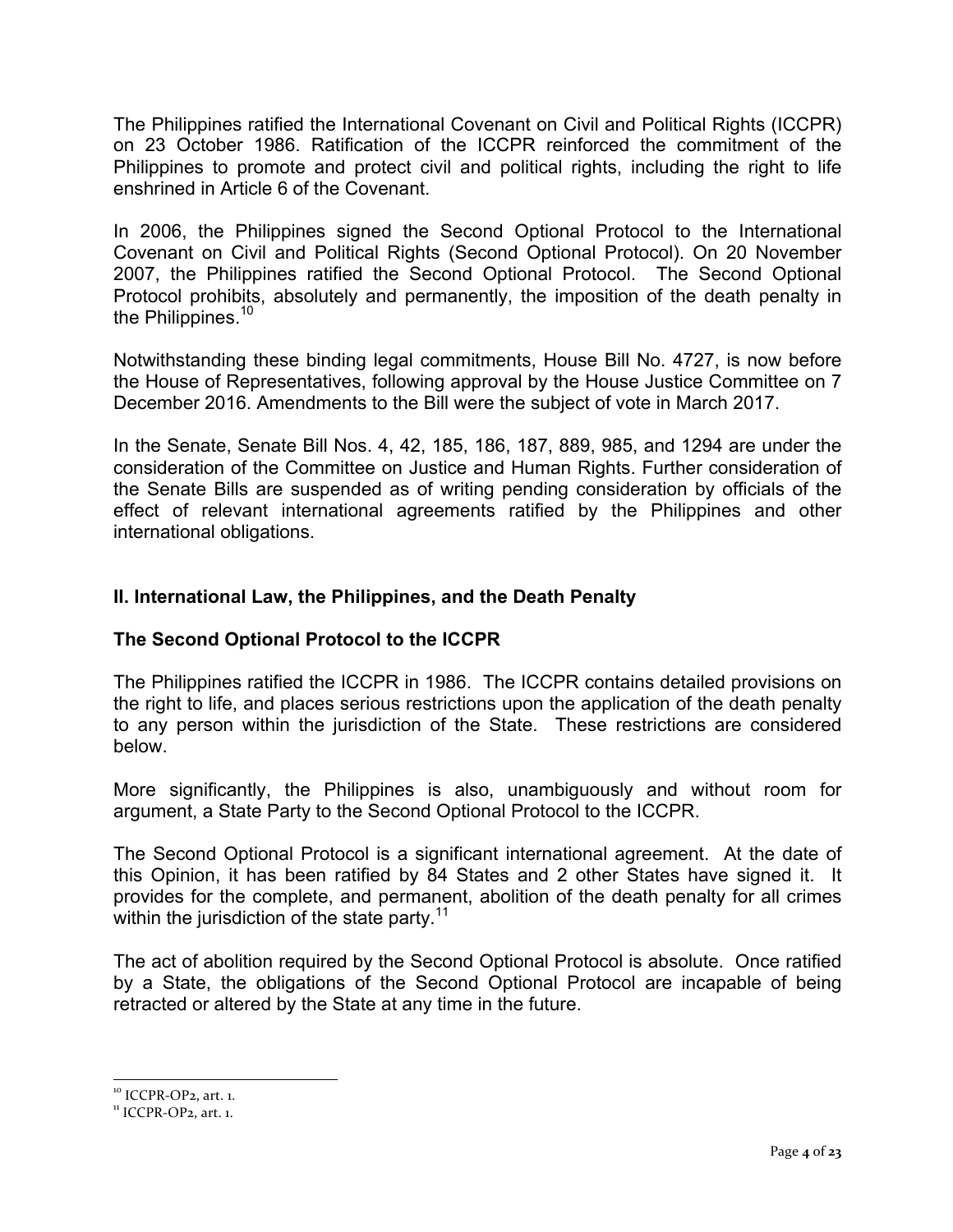The Philippines ratified the International Covenant on Civil and Political Rights (ICCPR) on 23 October 1986. Ratification of the ICCPR reinforced the commitment of the Philippines to promote and protect civil and political rights, including the right to life enshrined in Article 6 of the Covenant.

In 2006, the Philippines signed the Second Optional Protocol to the International Covenant on Civil and Political Rights (Second Optional Protocol). On 20 November 2007, the Philippines ratified the Second Optional Protocol. The Second Optional Protocol prohibits, absolutely and permanently, the imposition of the death penalty in the Philippines.<sup>10</sup>

Notwithstanding these binding legal commitments, House Bill No. 4727, is now before the House of Representatives, following approval by the House Justice Committee on 7 December 2016. Amendments to the Bill were the subject of vote in March 2017.

In the Senate, Senate Bill Nos. 4, 42, 185, 186, 187, 889, 985, and 1294 are under the consideration of the Committee on Justice and Human Rights. Further consideration of the Senate Bills are suspended as of writing pending consideration by officials of the effect of relevant international agreements ratified by the Philippines and other international obligations.

## **II. International Law, the Philippines, and the Death Penalty**

## **The Second Optional Protocol to the ICCPR**

The Philippines ratified the ICCPR in 1986. The ICCPR contains detailed provisions on the right to life, and places serious restrictions upon the application of the death penalty to any person within the jurisdiction of the State. These restrictions are considered below.

More significantly, the Philippines is also, unambiguously and without room for argument, a State Party to the Second Optional Protocol to the ICCPR.

The Second Optional Protocol is a significant international agreement. At the date of this Opinion, it has been ratified by 84 States and 2 other States have signed it. It provides for the complete, and permanent, abolition of the death penalty for all crimes within the jurisdiction of the state party.<sup>11</sup>

The act of abolition required by the Second Optional Protocol is absolute. Once ratified by a State, the obligations of the Second Optional Protocol are incapable of being retracted or altered by the State at any time in the future.

 $10$  ICCPR-OP<sub>2</sub>, art. 1.<br> $11$  ICCPR-OP<sub>2</sub>, art. 1.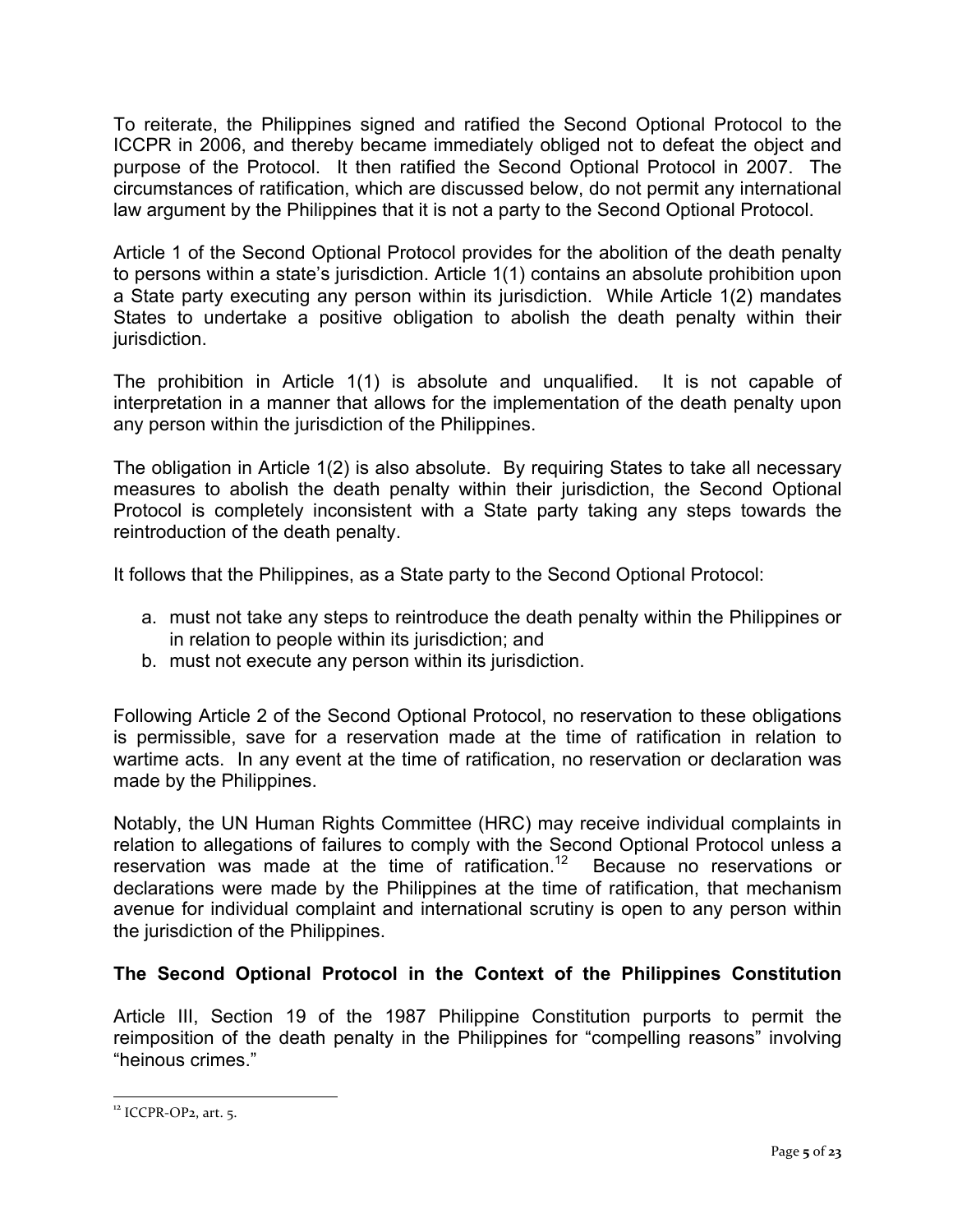To reiterate, the Philippines signed and ratified the Second Optional Protocol to the ICCPR in 2006, and thereby became immediately obliged not to defeat the object and purpose of the Protocol. It then ratified the Second Optional Protocol in 2007. The circumstances of ratification, which are discussed below, do not permit any international law argument by the Philippines that it is not a party to the Second Optional Protocol.

Article 1 of the Second Optional Protocol provides for the abolition of the death penalty to persons within a state's jurisdiction. Article 1(1) contains an absolute prohibition upon a State party executing any person within its jurisdiction. While Article 1(2) mandates States to undertake a positive obligation to abolish the death penalty within their jurisdiction.

The prohibition in Article 1(1) is absolute and unqualified. It is not capable of interpretation in a manner that allows for the implementation of the death penalty upon any person within the jurisdiction of the Philippines.

The obligation in Article 1(2) is also absolute. By requiring States to take all necessary measures to abolish the death penalty within their jurisdiction, the Second Optional Protocol is completely inconsistent with a State party taking any steps towards the reintroduction of the death penalty.

It follows that the Philippines, as a State party to the Second Optional Protocol:

- a. must not take any steps to reintroduce the death penalty within the Philippines or in relation to people within its jurisdiction; and
- b. must not execute any person within its jurisdiction.

Following Article 2 of the Second Optional Protocol, no reservation to these obligations is permissible, save for a reservation made at the time of ratification in relation to wartime acts. In any event at the time of ratification, no reservation or declaration was made by the Philippines.

Notably, the UN Human Rights Committee (HRC) may receive individual complaints in relation to allegations of failures to comply with the Second Optional Protocol unless a reservation was made at the time of ratification.<sup>12</sup> Because no reservations or declarations were made by the Philippines at the time of ratification, that mechanism avenue for individual complaint and international scrutiny is open to any person within the jurisdiction of the Philippines.

# **The Second Optional Protocol in the Context of the Philippines Constitution**

Article III, Section 19 of the 1987 Philippine Constitution purports to permit the reimposition of the death penalty in the Philippines for "compelling reasons" involving "heinous crimes."

 $12$  ICCPR-OP<sub>2</sub>, art. 5.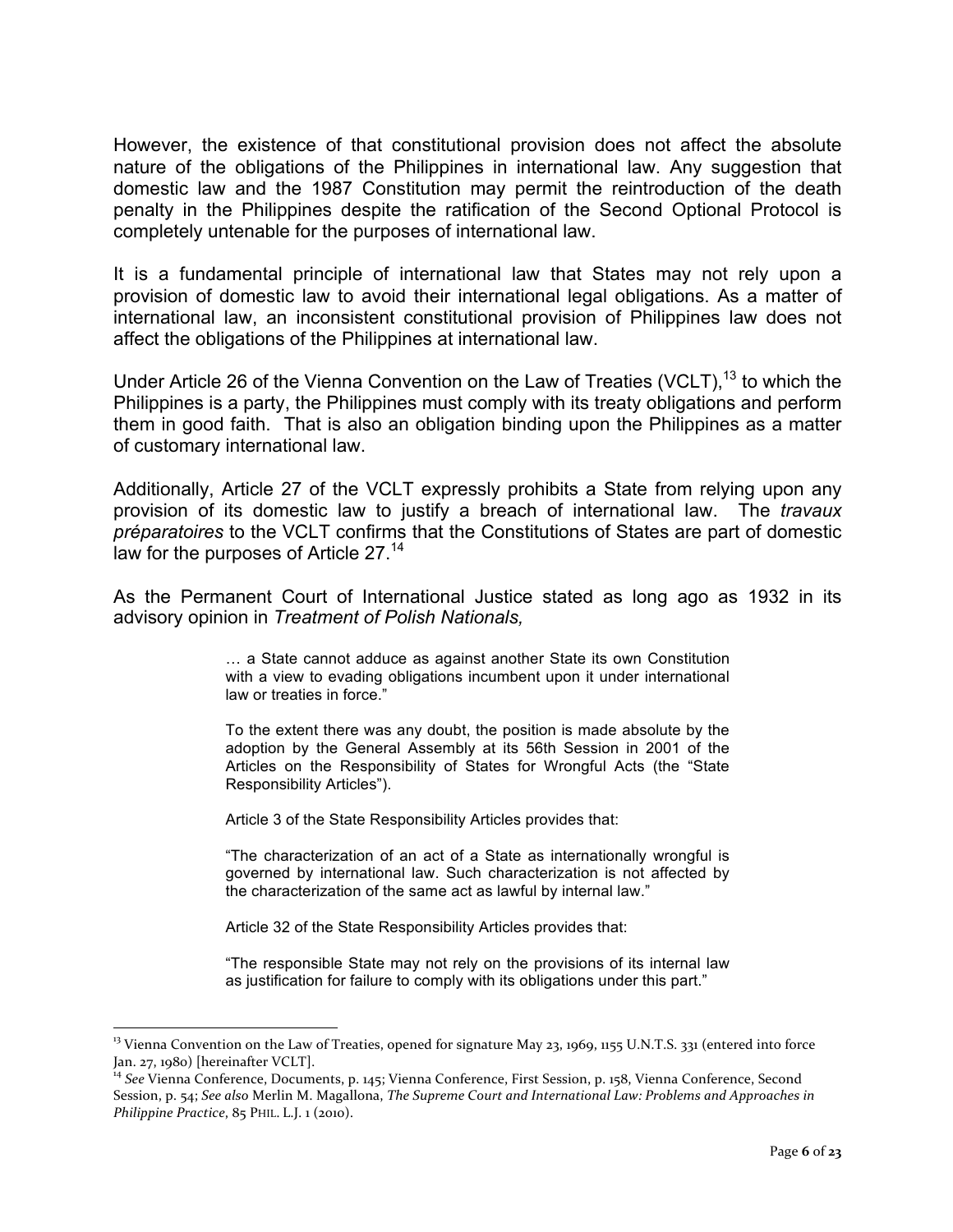However, the existence of that constitutional provision does not affect the absolute nature of the obligations of the Philippines in international law. Any suggestion that domestic law and the 1987 Constitution may permit the reintroduction of the death penalty in the Philippines despite the ratification of the Second Optional Protocol is completely untenable for the purposes of international law.

It is a fundamental principle of international law that States may not rely upon a provision of domestic law to avoid their international legal obligations. As a matter of international law, an inconsistent constitutional provision of Philippines law does not affect the obligations of the Philippines at international law.

Under Article 26 of the Vienna Convention on the Law of Treaties (VCLT),  $^{13}$  to which the Philippines is a party, the Philippines must comply with its treaty obligations and perform them in good faith. That is also an obligation binding upon the Philippines as a matter of customary international law.

Additionally, Article 27 of the VCLT expressly prohibits a State from relying upon any provision of its domestic law to justify a breach of international law. The *travaux préparatoires* to the VCLT confirms that the Constitutions of States are part of domestic law for the purposes of Article 27.<sup>14</sup>

As the Permanent Court of International Justice stated as long ago as 1932 in its advisory opinion in *Treatment of Polish Nationals,*

> … a State cannot adduce as against another State its own Constitution with a view to evading obligations incumbent upon it under international law or treaties in force."

> To the extent there was any doubt, the position is made absolute by the adoption by the General Assembly at its 56th Session in 2001 of the Articles on the Responsibility of States for Wrongful Acts (the "State Responsibility Articles").

Article 3 of the State Responsibility Articles provides that:

"The characterization of an act of a State as internationally wrongful is governed by international law. Such characterization is not affected by the characterization of the same act as lawful by internal law."

Article 32 of the State Responsibility Articles provides that:

"The responsible State may not rely on the provisions of its internal law as justification for failure to comply with its obligations under this part."

<sup>&</sup>lt;sup>13</sup> Vienna Convention on the Law of Treaties, opened for signature May 23, 1969, 1155 U.N.T.S. 331 (entered into force Jan. 27, 1980) [hereinafter VCLT].

<sup>&</sup>lt;sup>14</sup> See Vienna Conference, Documents, p. 145; Vienna Conference, First Session, p. 158, Vienna Conference, Second Session, p. 54; See also Merlin M. Magallona, *The Supreme Court and International Law: Problems and Approaches in Philippine Practice*, 85 PHIL. L.J. 1 (2010).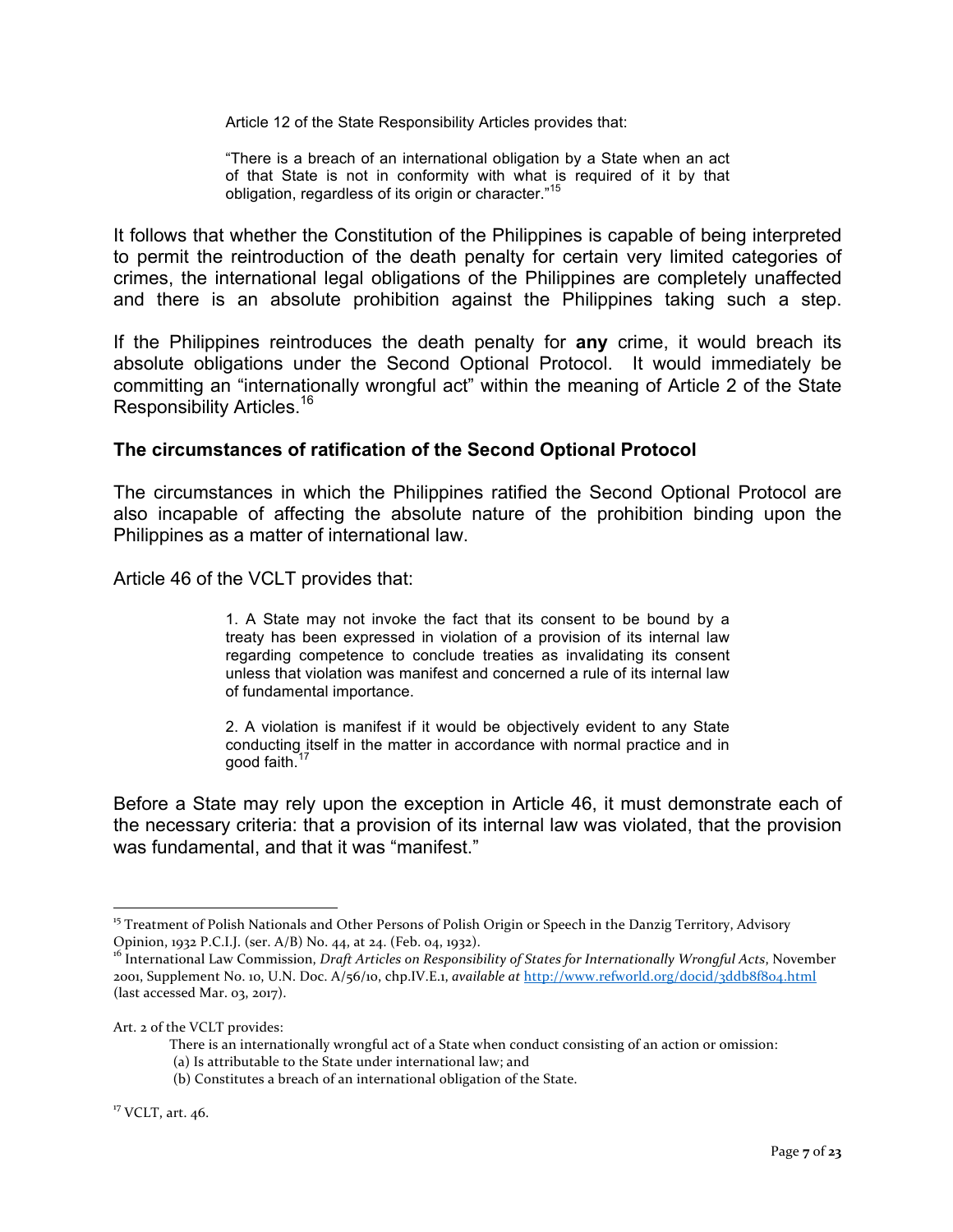Article 12 of the State Responsibility Articles provides that:

"There is a breach of an international obligation by a State when an act of that State is not in conformity with what is required of it by that obligation, regardless of its origin or character."<sup>15</sup>

It follows that whether the Constitution of the Philippines is capable of being interpreted to permit the reintroduction of the death penalty for certain very limited categories of crimes, the international legal obligations of the Philippines are completely unaffected and there is an absolute prohibition against the Philippines taking such a step.

If the Philippines reintroduces the death penalty for **any** crime, it would breach its absolute obligations under the Second Optional Protocol. It would immediately be committing an "internationally wrongful act" within the meaning of Article 2 of the State Responsibility Articles.16

#### **The circumstances of ratification of the Second Optional Protocol**

The circumstances in which the Philippines ratified the Second Optional Protocol are also incapable of affecting the absolute nature of the prohibition binding upon the Philippines as a matter of international law.

Article 46 of the VCLT provides that:

1. A State may not invoke the fact that its consent to be bound by a treaty has been expressed in violation of a provision of its internal law regarding competence to conclude treaties as invalidating its consent unless that violation was manifest and concerned a rule of its internal law of fundamental importance.

2. A violation is manifest if it would be objectively evident to any State conducting itself in the matter in accordance with normal practice and in good faith.<sup>17</sup>

Before a State may rely upon the exception in Article 46, it must demonstrate each of the necessary criteria: that a provision of its internal law was violated, that the provision was fundamental, and that it was "manifest."

<sup>&</sup>lt;sup>15</sup> Treatment of Polish Nationals and Other Persons of Polish Origin or Speech in the Danzig Territory, Advisory Opinion, 1932 P.C.I.J. (ser. A/B) No. 44, at 24. (Feb. 04, 1932).

<sup>&</sup>lt;sup>16</sup> International Law Commission, *Draft Articles on Responsibility of States for Internationally Wrongful Acts*, November 2001, Supplement No. 10, U.N. Doc. A/56/10, chp.IV.E.1, *available at* http://www.refworld.org/docid/3ddb8f804.html (last accessed Mar.  $03$ , 2017).

Art. 2 of the VCLT provides:

There is an internationally wrongful act of a State when conduct consisting of an action or omission:

<sup>(</sup>a) Is attributable to the State under international law; and

<sup>(</sup>b) Constitutes a breach of an international obligation of the State.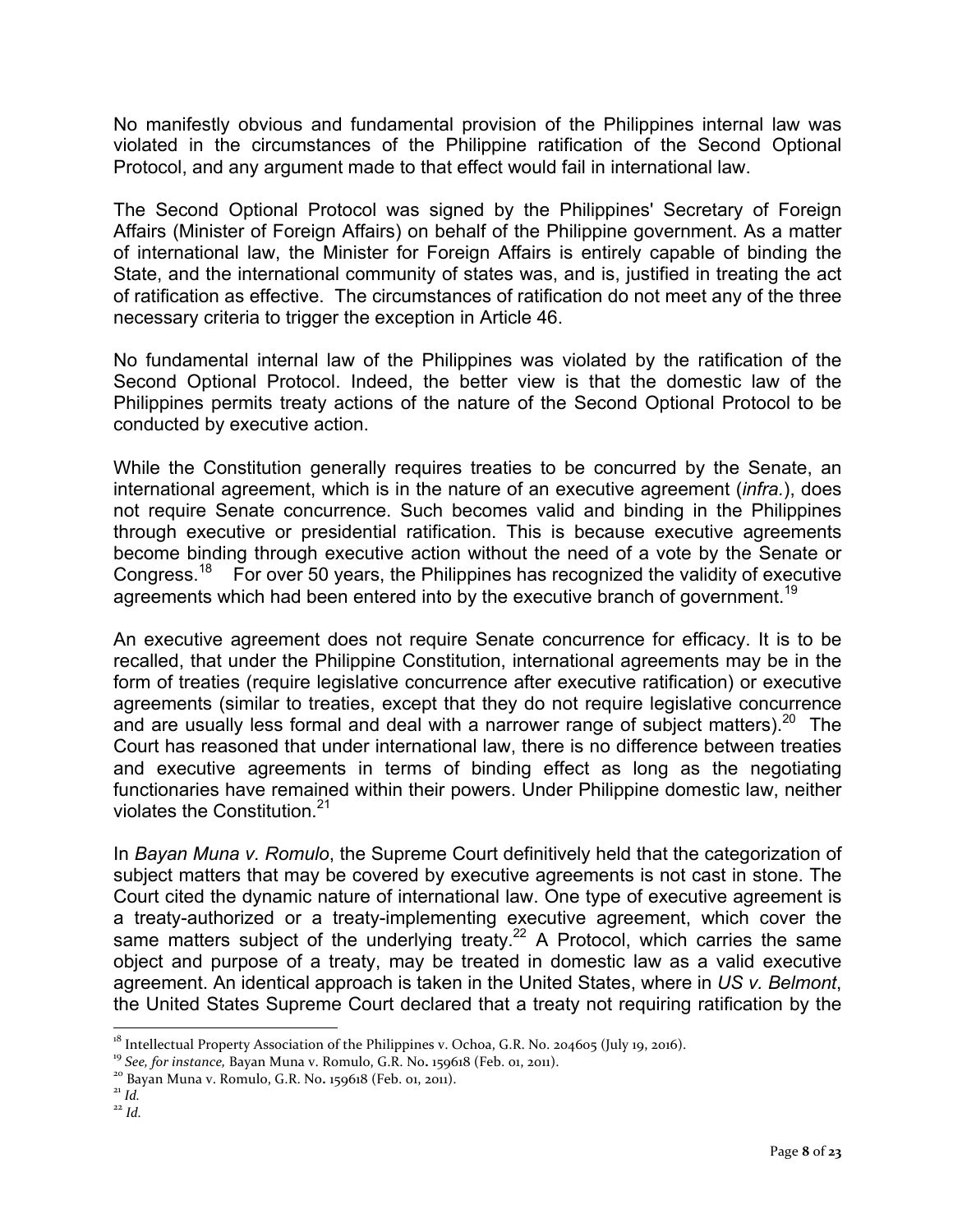No manifestly obvious and fundamental provision of the Philippines internal law was violated in the circumstances of the Philippine ratification of the Second Optional Protocol, and any argument made to that effect would fail in international law.

The Second Optional Protocol was signed by the Philippines' Secretary of Foreign Affairs (Minister of Foreign Affairs) on behalf of the Philippine government. As a matter of international law, the Minister for Foreign Affairs is entirely capable of binding the State, and the international community of states was, and is, justified in treating the act of ratification as effective. The circumstances of ratification do not meet any of the three necessary criteria to trigger the exception in Article 46.

No fundamental internal law of the Philippines was violated by the ratification of the Second Optional Protocol. Indeed, the better view is that the domestic law of the Philippines permits treaty actions of the nature of the Second Optional Protocol to be conducted by executive action.

While the Constitution generally requires treaties to be concurred by the Senate, an international agreement, which is in the nature of an executive agreement (*infra.*), does not require Senate concurrence. Such becomes valid and binding in the Philippines through executive or presidential ratification. This is because executive agreements become binding through executive action without the need of a vote by the Senate or Congress.18 For over 50 years, the Philippines has recognized the validity of executive agreements which had been entered into by the executive branch of government.<sup>19</sup>

An executive agreement does not require Senate concurrence for efficacy. It is to be recalled, that under the Philippine Constitution, international agreements may be in the form of treaties (require legislative concurrence after executive ratification) or executive agreements (similar to treaties, except that they do not require legislative concurrence and are usually less formal and deal with a narrower range of subject matters).<sup>20</sup> The Court has reasoned that under international law, there is no difference between treaties and executive agreements in terms of binding effect as long as the negotiating functionaries have remained within their powers. Under Philippine domestic law, neither violates the Constitution.<sup>21</sup>

In *Bayan Muna v. Romulo*, the Supreme Court definitively held that the categorization of subject matters that may be covered by executive agreements is not cast in stone. The Court cited the dynamic nature of international law. One type of executive agreement is a treaty-authorized or a treaty-implementing executive agreement, which cover the same matters subject of the underlying treaty.<sup>22</sup> A Protocol, which carries the same object and purpose of a treaty, may be treated in domestic law as a valid executive agreement. An identical approach is taken in the United States, where in *US v. Belmont*, the United States Supreme Court declared that a treaty not requiring ratification by the

<sup>&</sup>lt;sup>18</sup> Intellectual Property Association of the Philippines v. Ochoa, G.R. No. 204605 (July 19, 2016).<br><sup>19</sup> *See, for instance*, Bayan Muna v. Romulo, G.R. No. 159618 (Feb. 01, 2011).<br><sup>20</sup> Bayan Muna v. Romulo, G.R. No. 159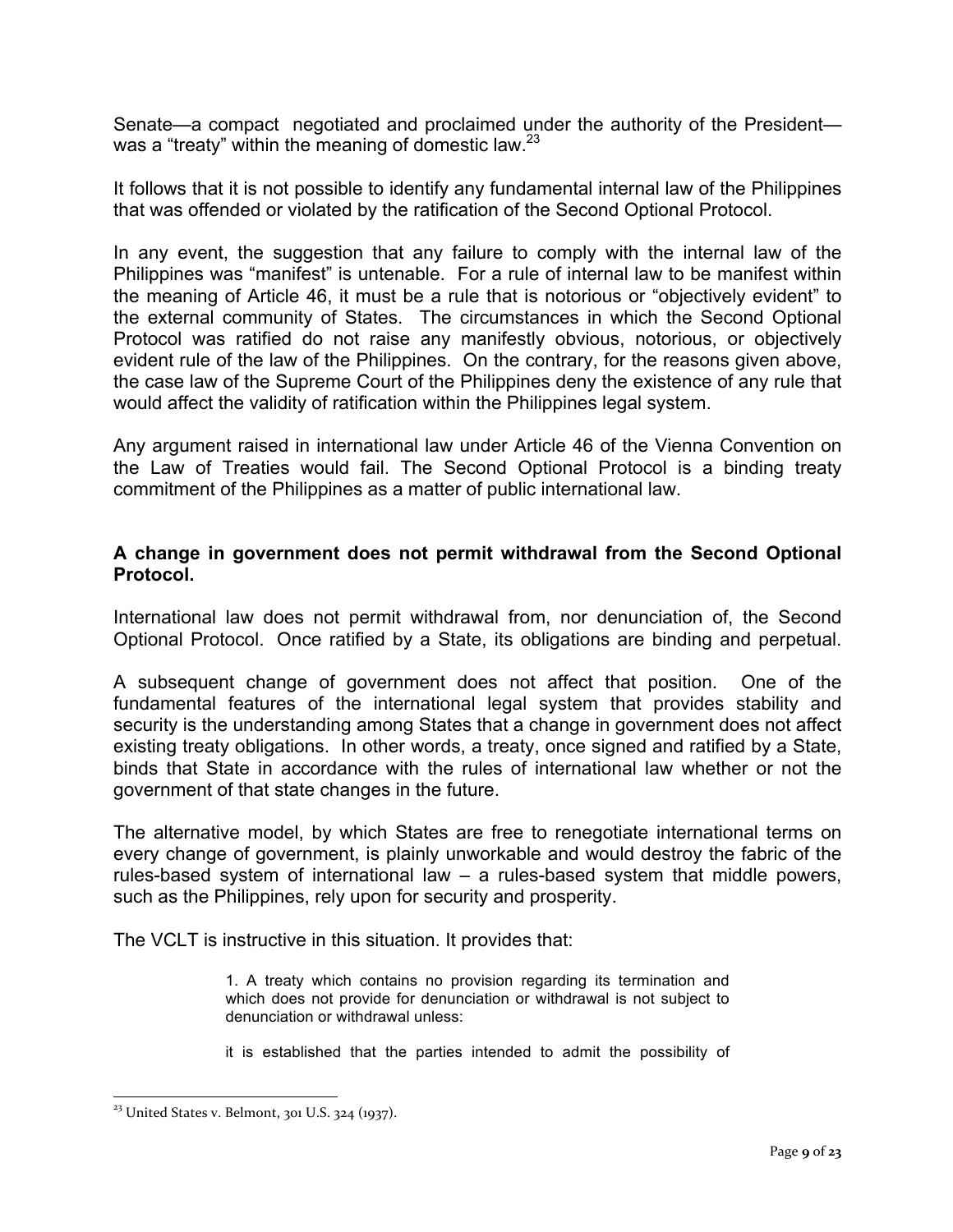Senate—a compact negotiated and proclaimed under the authority of the President was a "treaty" within the meaning of domestic law.  $2^3$ 

It follows that it is not possible to identify any fundamental internal law of the Philippines that was offended or violated by the ratification of the Second Optional Protocol.

In any event, the suggestion that any failure to comply with the internal law of the Philippines was "manifest" is untenable. For a rule of internal law to be manifest within the meaning of Article 46, it must be a rule that is notorious or "objectively evident" to the external community of States. The circumstances in which the Second Optional Protocol was ratified do not raise any manifestly obvious, notorious, or objectively evident rule of the law of the Philippines. On the contrary, for the reasons given above, the case law of the Supreme Court of the Philippines deny the existence of any rule that would affect the validity of ratification within the Philippines legal system.

Any argument raised in international law under Article 46 of the Vienna Convention on the Law of Treaties would fail. The Second Optional Protocol is a binding treaty commitment of the Philippines as a matter of public international law.

#### **A change in government does not permit withdrawal from the Second Optional Protocol.**

International law does not permit withdrawal from, nor denunciation of, the Second Optional Protocol. Once ratified by a State, its obligations are binding and perpetual.

A subsequent change of government does not affect that position. One of the fundamental features of the international legal system that provides stability and security is the understanding among States that a change in government does not affect existing treaty obligations. In other words, a treaty, once signed and ratified by a State, binds that State in accordance with the rules of international law whether or not the government of that state changes in the future.

The alternative model, by which States are free to renegotiate international terms on every change of government, is plainly unworkable and would destroy the fabric of the rules-based system of international law – a rules-based system that middle powers, such as the Philippines, rely upon for security and prosperity.

The VCLT is instructive in this situation. It provides that:

1. A treaty which contains no provision regarding its termination and which does not provide for denunciation or withdrawal is not subject to denunciation or withdrawal unless:

it is established that the parties intended to admit the possibility of

 $23$  United States v. Belmont, 301 U.S. 324 (1937).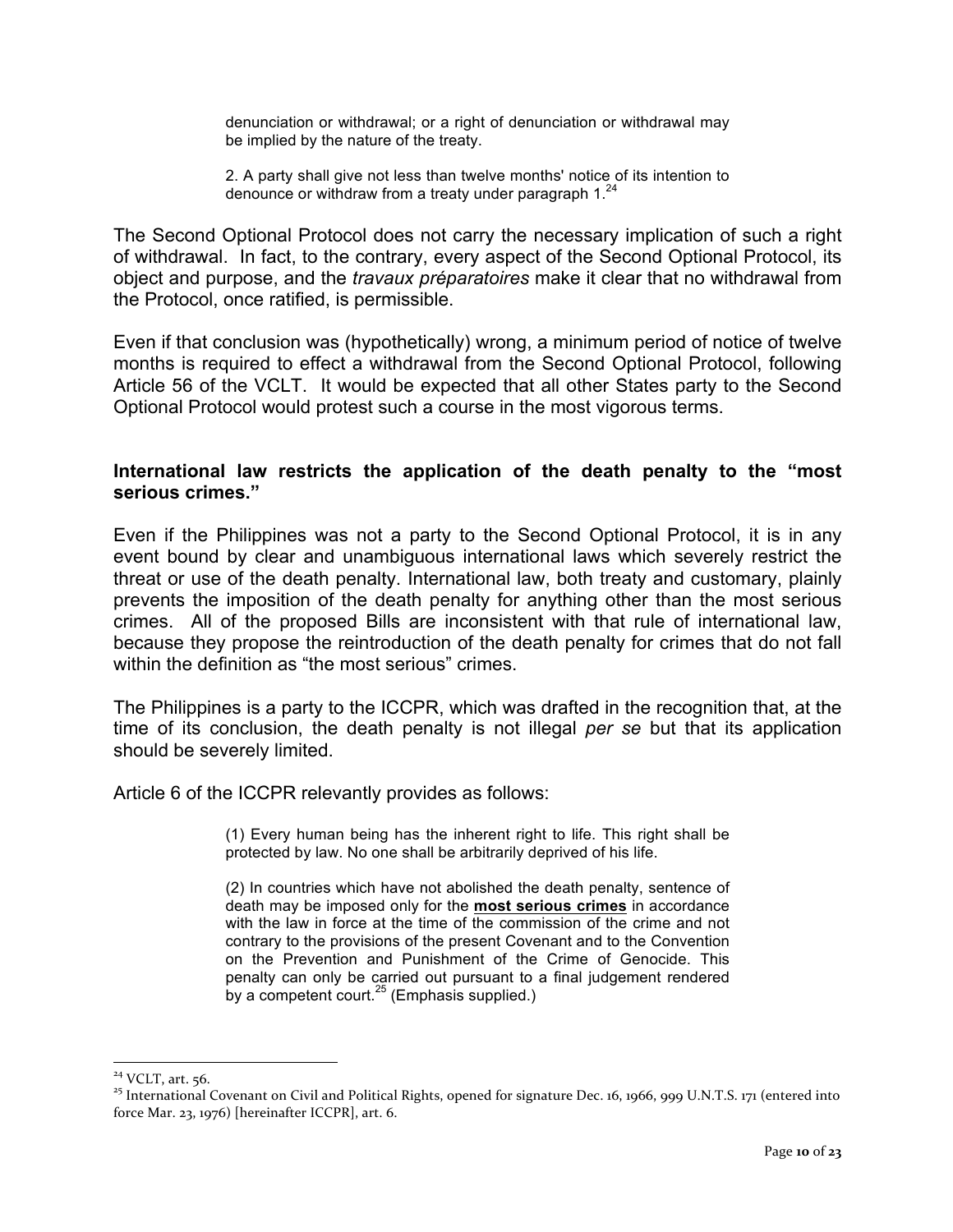denunciation or withdrawal; or a right of denunciation or withdrawal may be implied by the nature of the treaty.

2. A party shall give not less than twelve months' notice of its intention to denounce or withdraw from a treaty under paragraph  $1.^{24}$ 

The Second Optional Protocol does not carry the necessary implication of such a right of withdrawal. In fact, to the contrary, every aspect of the Second Optional Protocol, its object and purpose, and the *travaux préparatoires* make it clear that no withdrawal from the Protocol, once ratified, is permissible.

Even if that conclusion was (hypothetically) wrong, a minimum period of notice of twelve months is required to effect a withdrawal from the Second Optional Protocol, following Article 56 of the VCLT. It would be expected that all other States party to the Second Optional Protocol would protest such a course in the most vigorous terms.

#### **International law restricts the application of the death penalty to the "most serious crimes."**

Even if the Philippines was not a party to the Second Optional Protocol, it is in any event bound by clear and unambiguous international laws which severely restrict the threat or use of the death penalty. International law, both treaty and customary, plainly prevents the imposition of the death penalty for anything other than the most serious crimes. All of the proposed Bills are inconsistent with that rule of international law, because they propose the reintroduction of the death penalty for crimes that do not fall within the definition as "the most serious" crimes.

The Philippines is a party to the ICCPR, which was drafted in the recognition that, at the time of its conclusion, the death penalty is not illegal *per se* but that its application should be severely limited.

Article 6 of the ICCPR relevantly provides as follows:

(1) Every human being has the inherent right to life. This right shall be protected by law. No one shall be arbitrarily deprived of his life.

(2) In countries which have not abolished the death penalty, sentence of death may be imposed only for the **most serious crimes** in accordance with the law in force at the time of the commission of the crime and not contrary to the provisions of the present Covenant and to the Convention on the Prevention and Punishment of the Crime of Genocide. This penalty can only be carried out pursuant to a final judgement rendered by a competent court.<sup>25</sup> (Emphasis supplied.)

<sup>&</sup>lt;sup>24</sup> VCLT, art. 56.<br><sup>25</sup> International Covenant on Civil and Political Rights, opened for signature Dec. 16, 1966, 999 U.N.T.S. 171 (entered into force Mar. 23, 1976) [hereinafter ICCPR], art. 6.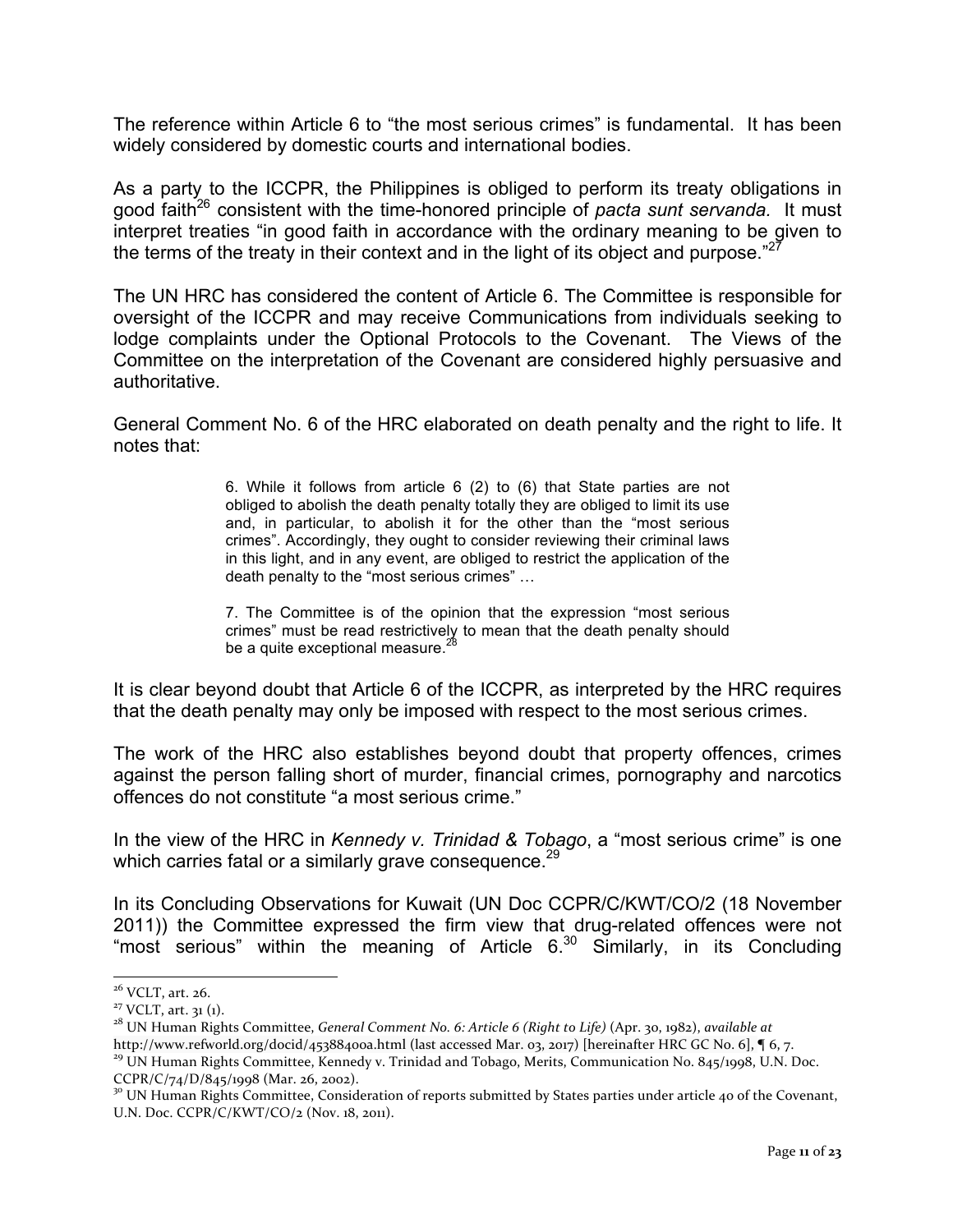The reference within Article 6 to "the most serious crimes" is fundamental. It has been widely considered by domestic courts and international bodies.

As a party to the ICCPR, the Philippines is obliged to perform its treaty obligations in good faith26 consistent with the time-honored principle of *pacta sunt servanda.* It must interpret treaties "in good faith in accordance with the ordinary meaning to be given to the terms of the treaty in their context and in the light of its object and purpose." $27$ 

The UN HRC has considered the content of Article 6. The Committee is responsible for oversight of the ICCPR and may receive Communications from individuals seeking to lodge complaints under the Optional Protocols to the Covenant. The Views of the Committee on the interpretation of the Covenant are considered highly persuasive and authoritative.

General Comment No. 6 of the HRC elaborated on death penalty and the right to life. It notes that:

> 6. While it follows from article 6 (2) to (6) that State parties are not obliged to abolish the death penalty totally they are obliged to limit its use and, in particular, to abolish it for the other than the "most serious crimes". Accordingly, they ought to consider reviewing their criminal laws in this light, and in any event, are obliged to restrict the application of the death penalty to the "most serious crimes" …

> 7. The Committee is of the opinion that the expression "most serious crimes" must be read restrictively to mean that the death penalty should be a quite exceptional measure.<sup>28</sup>

It is clear beyond doubt that Article 6 of the ICCPR, as interpreted by the HRC requires that the death penalty may only be imposed with respect to the most serious crimes.

The work of the HRC also establishes beyond doubt that property offences, crimes against the person falling short of murder, financial crimes, pornography and narcotics offences do not constitute "a most serious crime."

In the view of the HRC in *Kennedy v. Trinidad & Tobago*, a "most serious crime" is one which carries fatal or a similarly grave consequence.<sup>29</sup>

In its Concluding Observations for Kuwait (UN Doc CCPR/C/KWT/CO/2 (18 November 2011)) the Committee expressed the firm view that drug-related offences were not "most serious" within the meaning of Article 6.<sup>30</sup> Similarly, in its Concluding

<sup>&</sup>lt;sup>26</sup> VCLT, art. 26.<br><sup>27</sup> VCLT, art. 31 (1).<br><sup>28</sup> UN Human Rights Committee, *General Comment No. 6: Article 6 (Right to Life)* (Apr. 30, 1982), *available at*<br>http://www.refworld.org/docid/45388400a.html (last accessed Mar

<sup>&</sup>lt;sup>29</sup> UN Human Rights Committee, Kennedy v. Trinidad and Tobago, Merits, Communication No. 845/1998, U.N. Doc. CCPR/C/74/D/845/1998 (Mar. 26, 2002).

<sup>&</sup>lt;sup>30</sup> UN Human Rights Committee, Consideration of reports submitted by States parties under article 40 of the Covenant, U.N. Doc. CCPR/C/KWT/CO/2 (Nov. 18, 2011).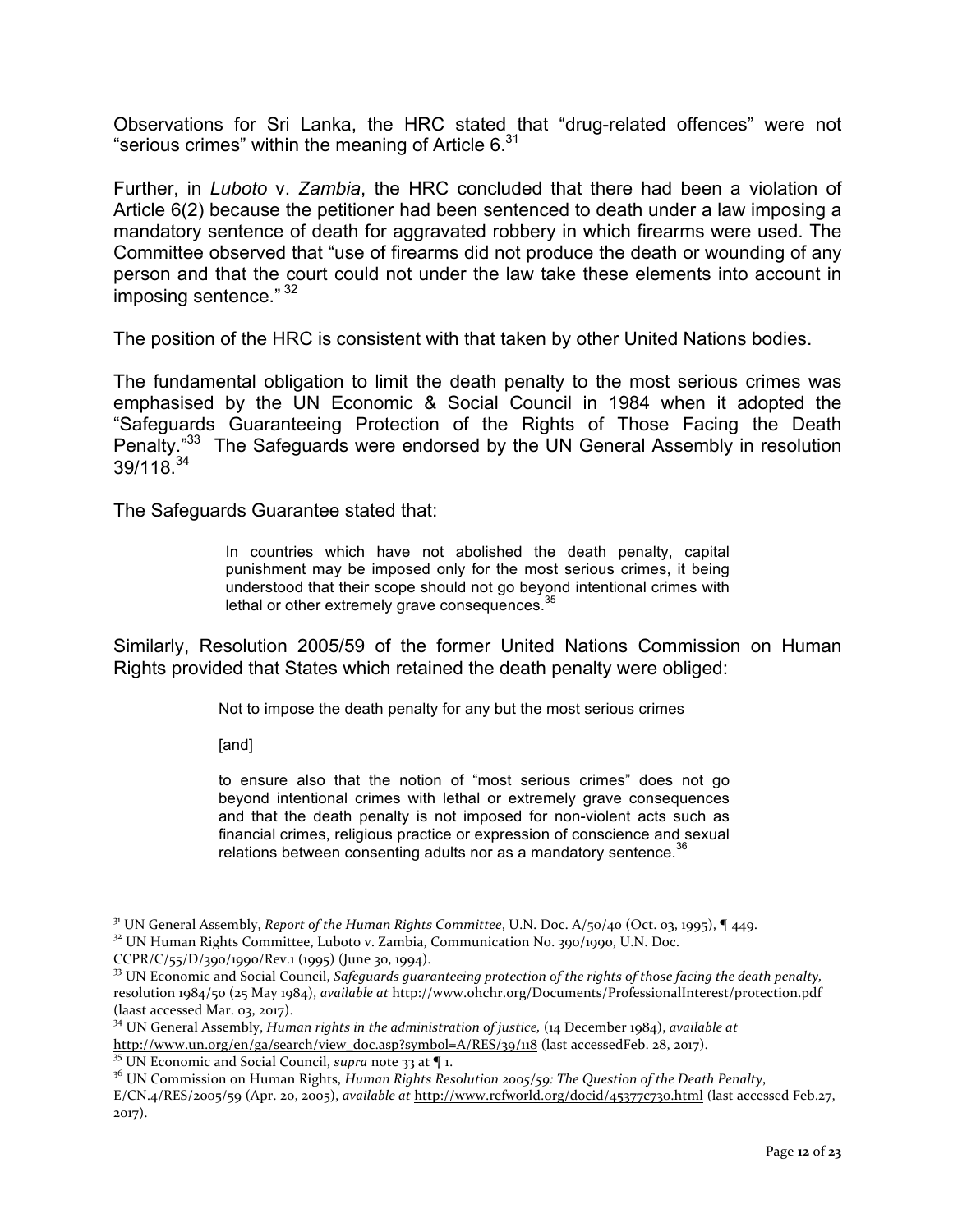Observations for Sri Lanka, the HRC stated that "drug-related offences" were not "serious crimes" within the meaning of Article 6. $31$ 

Further, in *Luboto* v. *Zambia*, the HRC concluded that there had been a violation of Article 6(2) because the petitioner had been sentenced to death under a law imposing a mandatory sentence of death for aggravated robbery in which firearms were used. The Committee observed that "use of firearms did not produce the death or wounding of any person and that the court could not under the law take these elements into account in imposing sentence." <sup>32</sup>

The position of the HRC is consistent with that taken by other United Nations bodies.

The fundamental obligation to limit the death penalty to the most serious crimes was emphasised by the UN Economic & Social Council in 1984 when it adopted the "Safeguards Guaranteeing Protection of the Rights of Those Facing the Death Penalty."<sup>33</sup> The Safeguards were endorsed by the UN General Assembly in resolution  $39/118^{34}$ 

The Safeguards Guarantee stated that:

In countries which have not abolished the death penalty, capital punishment may be imposed only for the most serious crimes, it being understood that their scope should not go beyond intentional crimes with lethal or other extremely grave consequences.<sup>35</sup>

Similarly, Resolution 2005/59 of the former United Nations Commission on Human Rights provided that States which retained the death penalty were obliged:

Not to impose the death penalty for any but the most serious crimes

[and]

to ensure also that the notion of "most serious crimes" does not go beyond intentional crimes with lethal or extremely grave consequences and that the death penalty is not imposed for non-violent acts such as financial crimes, religious practice or expression of conscience and sexual relations between consenting adults nor as a mandatory sentence.<sup>3</sup>

<sup>&</sup>lt;sup>31</sup> UN General Assembly, *Report of the Human Rights Committee*, U.N. Doc. A/50/40 (Oct. 03, 1995), **[449.** 32 UN Human Rights Committee, Luboto v. Zambia, Communication No. 390/1990, U.N. Doc.

 $CCPR/C/55/D/390/1990/Rev.1 (1995)$  (June 30, 1994).

 $33$  UN Economic and Social Council, *Safeguards guaranteeing protection of the rights of those facing the death penalty,* resolution 1984/50 (25 May 1984), *available at http://www.ohchr.org/Documents/ProfessionalInterest/protection.pdf*  $(laast accessed Mar.  $03, 2017)$ .$ 

<sup>&</sup>lt;sup>34</sup> UN General Assembly, *Human rights in the administration of justice*, (14 December 1984), *available at* http://www.un.org/en/ga/search/view\_doc.asp?symbol=A/RES/39/118 (last accessedFeb. 28, 2017).<br><sup>35</sup> UN Economic and Social Council, *supra* note 33 at ¶ 1.

<sup>&</sup>lt;sup>36</sup> UN Commission on Human Rights, *Human Rights Resolution 2005/59: The Question of the Death Penalty*, E/CN.4/RES/2005/59 (Apr. 20, 2005), *available at http://www.refworld.org/docid/45377c730.html* (last accessed Feb.27, 2017).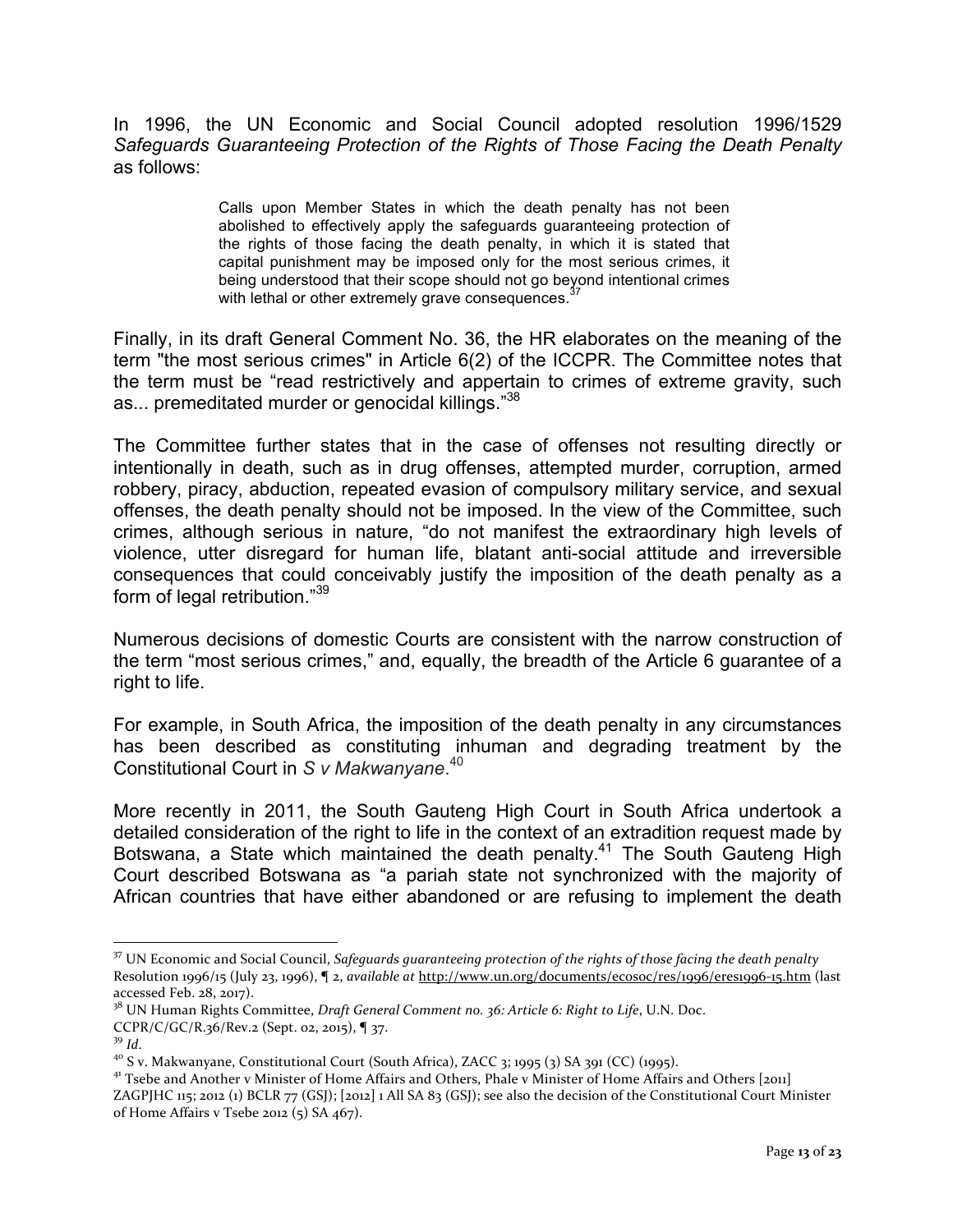In 1996, the UN Economic and Social Council adopted resolution 1996/1529 *Safeguards Guaranteeing Protection of the Rights of Those Facing the Death Penalty* as follows:

> Calls upon Member States in which the death penalty has not been abolished to effectively apply the safeguards guaranteeing protection of the rights of those facing the death penalty, in which it is stated that capital punishment may be imposed only for the most serious crimes, it being understood that their scope should not go beyond intentional crimes with lethal or other extremely grave consequences.

Finally, in its draft General Comment No. 36, the HR elaborates on the meaning of the term "the most serious crimes" in Article 6(2) of the ICCPR. The Committee notes that the term must be "read restrictively and appertain to crimes of extreme gravity, such as... premeditated murder or genocidal killings."<sup>38</sup>

The Committee further states that in the case of offenses not resulting directly or intentionally in death, such as in drug offenses, attempted murder, corruption, armed robbery, piracy, abduction, repeated evasion of compulsory military service, and sexual offenses, the death penalty should not be imposed. In the view of the Committee, such crimes, although serious in nature, "do not manifest the extraordinary high levels of violence, utter disregard for human life, blatant anti-social attitude and irreversible consequences that could conceivably justify the imposition of the death penalty as a form of legal retribution."<sup>39</sup>

Numerous decisions of domestic Courts are consistent with the narrow construction of the term "most serious crimes," and, equally, the breadth of the Article 6 guarantee of a right to life.

For example, in South Africa, the imposition of the death penalty in any circumstances has been described as constituting inhuman and degrading treatment by the Constitutional Court in *S v Makwanyane*. 40

More recently in 2011, the South Gauteng High Court in South Africa undertook a detailed consideration of the right to life in the context of an extradition request made by Botswana, a State which maintained the death penalty.<sup>41</sup> The South Gauteng High Court described Botswana as "a pariah state not synchronized with the majority of African countries that have either abandoned or are refusing to implement the death

<sup>38</sup> UN Human Rights Committee, *Draft General Comment no.* 36: Article 6: Right to Life, U.N. Doc.

<sup>&</sup>lt;sup>37</sup> UN Economic and Social Council, *Safeguards guaranteeing protection of the rights of those facing the death penalty* Resolution 1996/15 (July 23, 1996), **[**2, *available at http://www.un.org/documents/ecosoc/res/1996/eres1996-15.htm (last*) accessed Feb. 28, 2017).

CCPR/C/GC/R.36/Rev.2 (Sept. 02, 2015), ¶ 37.<br><sup>39</sup> Id.<br><sup>40</sup> S v. Makwanyane, Constitutional Court (South Africa), ZACC 3; 1995 (3) SA 391 (CC) (1995).<br><sup>41</sup> Tsebe and Another v Minister of Home Affairs and Others, Phale v Mi ZAGPJHC 115; 2012 (1) BCLR 77 (GSJ); [2012] 1 All SA 83 (GSJ); see also the decision of the Constitutional Court Minister of Home Affairs v Tsebe 2012  $(5)$  SA 467).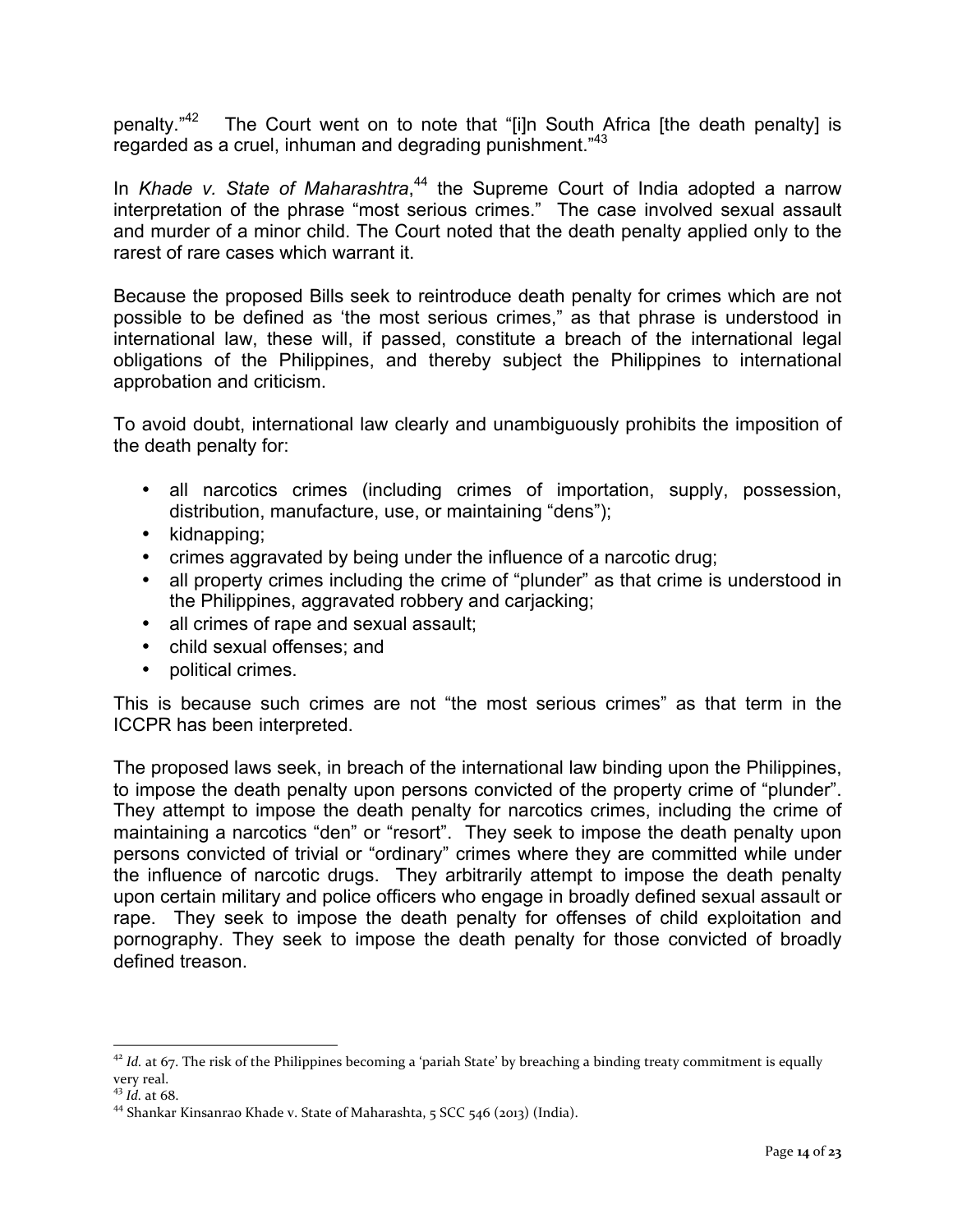penalty."<sup>42</sup> The Court went on to note that "[i]n South Africa [the death penalty] is regarded as a cruel, inhuman and degrading punishment."<sup>43</sup>

In *Khade v. State of Maharashtra*, <sup>44</sup> the Supreme Court of India adopted a narrow interpretation of the phrase "most serious crimes." The case involved sexual assault and murder of a minor child. The Court noted that the death penalty applied only to the rarest of rare cases which warrant it.

Because the proposed Bills seek to reintroduce death penalty for crimes which are not possible to be defined as 'the most serious crimes," as that phrase is understood in international law, these will, if passed, constitute a breach of the international legal obligations of the Philippines, and thereby subject the Philippines to international approbation and criticism.

To avoid doubt, international law clearly and unambiguously prohibits the imposition of the death penalty for:

- all narcotics crimes (including crimes of importation, supply, possession, distribution, manufacture, use, or maintaining "dens");
- kidnapping;
- crimes aggravated by being under the influence of a narcotic drug;
- all property crimes including the crime of "plunder" as that crime is understood in the Philippines, aggravated robbery and carjacking;
- all crimes of rape and sexual assault;
- child sexual offenses; and
- political crimes.

This is because such crimes are not "the most serious crimes" as that term in the ICCPR has been interpreted.

The proposed laws seek, in breach of the international law binding upon the Philippines, to impose the death penalty upon persons convicted of the property crime of "plunder". They attempt to impose the death penalty for narcotics crimes, including the crime of maintaining a narcotics "den" or "resort". They seek to impose the death penalty upon persons convicted of trivial or "ordinary" crimes where they are committed while under the influence of narcotic drugs. They arbitrarily attempt to impose the death penalty upon certain military and police officers who engage in broadly defined sexual assault or rape. They seek to impose the death penalty for offenses of child exploitation and pornography. They seek to impose the death penalty for those convicted of broadly defined treason.

 $42$  *Id.* at 67. The risk of the Philippines becoming a 'pariah State' by breaching a binding treaty commitment is equally very real.<br> $43$  *Id.* at 68.

<sup>&</sup>lt;sup>44</sup> Shankar Kinsanrao Khade v. State of Maharashta, 5 SCC 546 (2013) (India).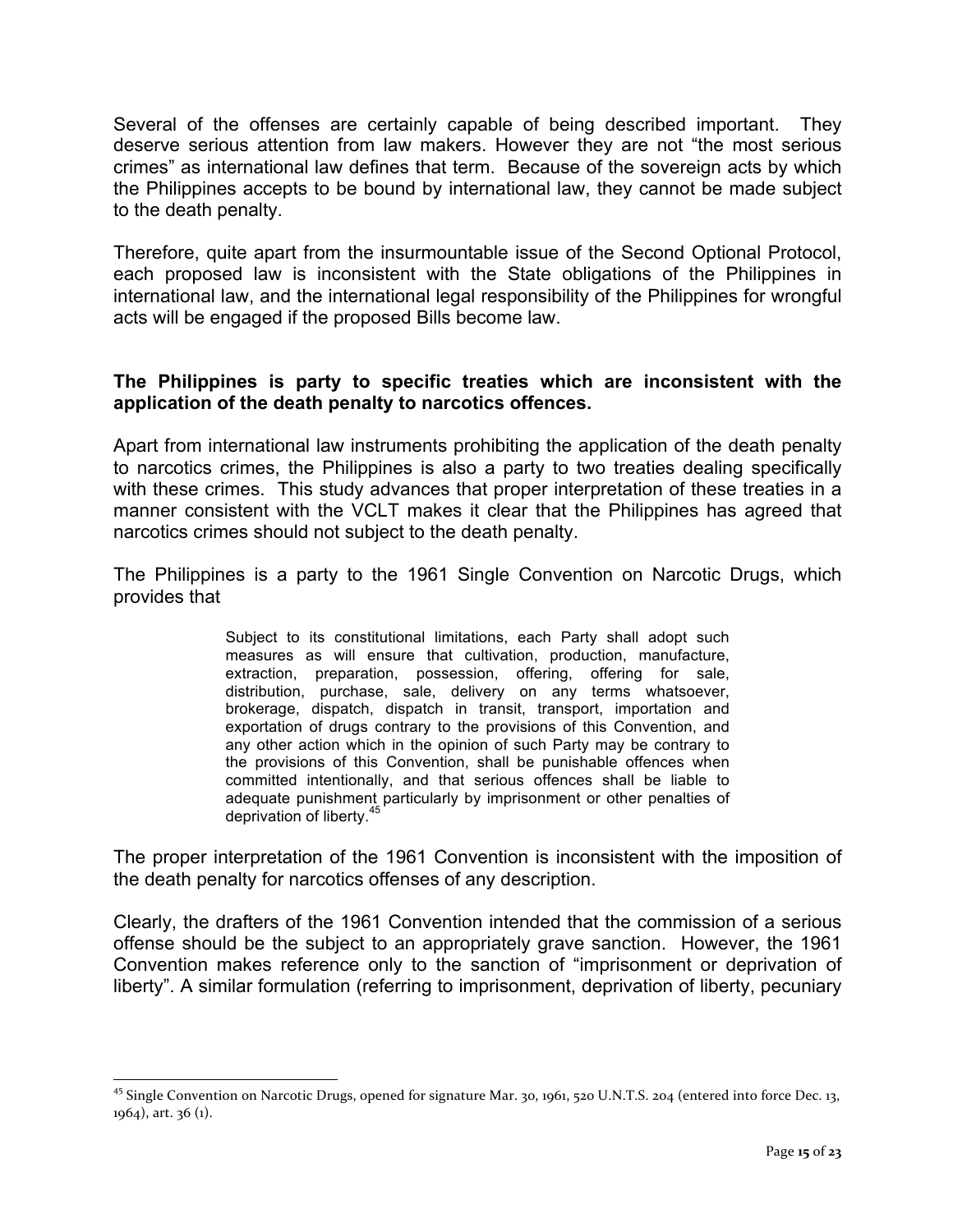Several of the offenses are certainly capable of being described important. They deserve serious attention from law makers. However they are not "the most serious crimes" as international law defines that term. Because of the sovereign acts by which the Philippines accepts to be bound by international law, they cannot be made subject to the death penalty.

Therefore, quite apart from the insurmountable issue of the Second Optional Protocol, each proposed law is inconsistent with the State obligations of the Philippines in international law, and the international legal responsibility of the Philippines for wrongful acts will be engaged if the proposed Bills become law.

#### **The Philippines is party to specific treaties which are inconsistent with the application of the death penalty to narcotics offences.**

Apart from international law instruments prohibiting the application of the death penalty to narcotics crimes, the Philippines is also a party to two treaties dealing specifically with these crimes. This study advances that proper interpretation of these treaties in a manner consistent with the VCLT makes it clear that the Philippines has agreed that narcotics crimes should not subject to the death penalty.

The Philippines is a party to the 1961 Single Convention on Narcotic Drugs, which provides that

> Subject to its constitutional limitations, each Party shall adopt such measures as will ensure that cultivation, production, manufacture, extraction, preparation, possession, offering, offering for sale, distribution, purchase, sale, delivery on any terms whatsoever, brokerage, dispatch, dispatch in transit, transport, importation and exportation of drugs contrary to the provisions of this Convention, and any other action which in the opinion of such Party may be contrary to the provisions of this Convention, shall be punishable offences when committed intentionally, and that serious offences shall be liable to adequate punishment particularly by imprisonment or other penalties of deprivation of liberty.<sup>45</sup>

The proper interpretation of the 1961 Convention is inconsistent with the imposition of the death penalty for narcotics offenses of any description.

Clearly, the drafters of the 1961 Convention intended that the commission of a serious offense should be the subject to an appropriately grave sanction. However, the 1961 Convention makes reference only to the sanction of "imprisonment or deprivation of liberty". A similar formulation (referring to imprisonment, deprivation of liberty, pecuniary

<sup>&</sup>lt;sup>45</sup> Single Convention on Narcotic Drugs, opened for signature Mar. 30, 1961, 520 U.N.T.S. 204 (entered into force Dec. 13,  $1964$ ), art.  $36$  (1).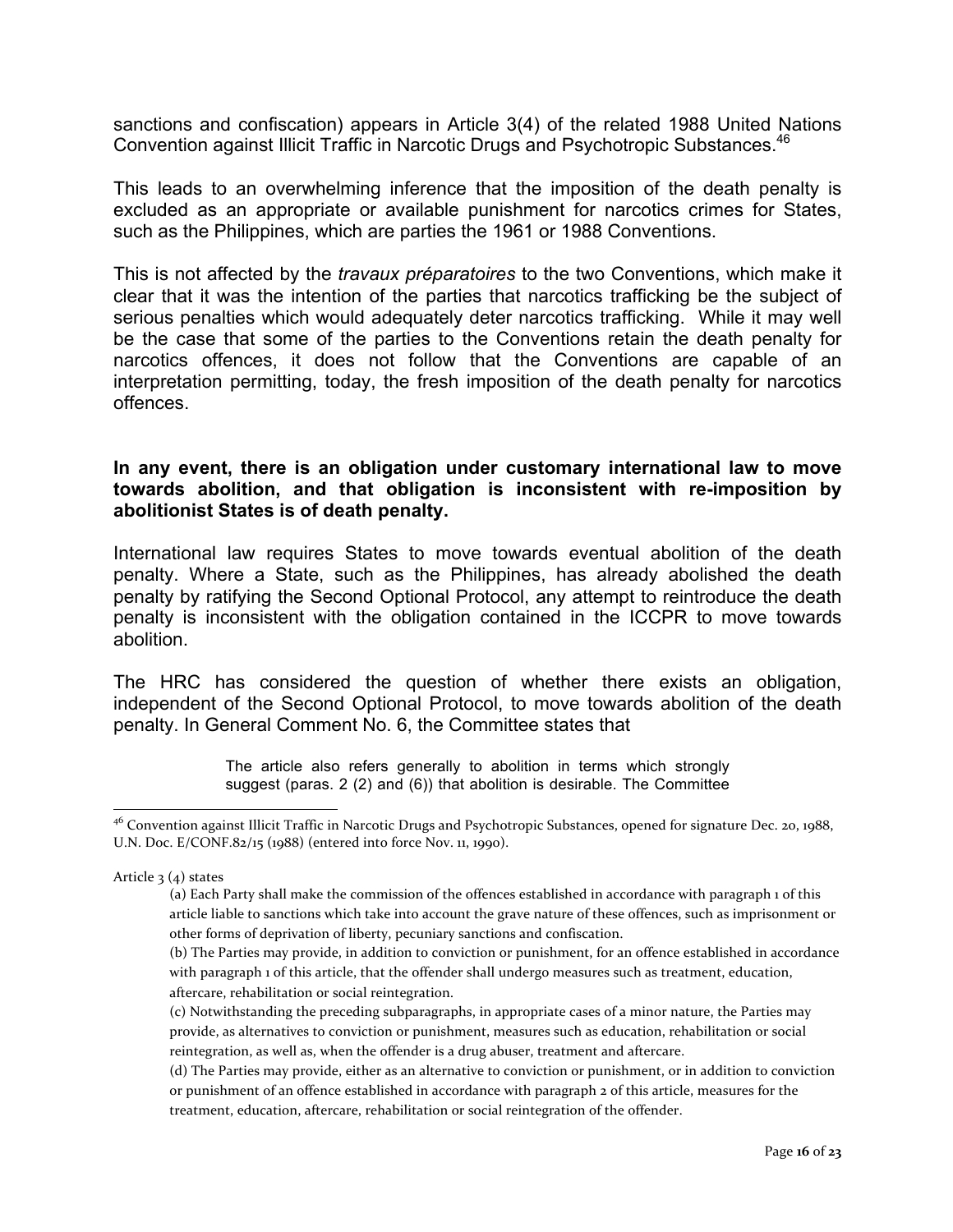sanctions and confiscation) appears in Article 3(4) of the related 1988 United Nations Convention against Illicit Traffic in Narcotic Drugs and Psychotropic Substances.<sup>46</sup>

This leads to an overwhelming inference that the imposition of the death penalty is excluded as an appropriate or available punishment for narcotics crimes for States, such as the Philippines, which are parties the 1961 or 1988 Conventions.

This is not affected by the *travaux préparatoires* to the two Conventions, which make it clear that it was the intention of the parties that narcotics trafficking be the subject of serious penalties which would adequately deter narcotics trafficking. While it may well be the case that some of the parties to the Conventions retain the death penalty for narcotics offences, it does not follow that the Conventions are capable of an interpretation permitting, today, the fresh imposition of the death penalty for narcotics offences.

#### **In any event, there is an obligation under customary international law to move towards abolition, and that obligation is inconsistent with re-imposition by abolitionist States is of death penalty.**

International law requires States to move towards eventual abolition of the death penalty. Where a State, such as the Philippines, has already abolished the death penalty by ratifying the Second Optional Protocol, any attempt to reintroduce the death penalty is inconsistent with the obligation contained in the ICCPR to move towards abolition.

The HRC has considered the question of whether there exists an obligation, independent of the Second Optional Protocol, to move towards abolition of the death penalty. In General Comment No. 6, the Committee states that

> The article also refers generally to abolition in terms which strongly suggest (paras. 2 (2) and (6)) that abolition is desirable. The Committee

<sup>&</sup>lt;sup>46</sup> Convention against Illicit Traffic in Narcotic Drugs and Psychotropic Substances, opened for signature Dec. 20, 1988, U.N. Doc. E/CONF.82/15 (1988) (entered into force Nov. 11, 1990).

Article  $3(4)$  states

<sup>(</sup>a) Each Party shall make the commission of the offences established in accordance with paragraph 1 of this article liable to sanctions which take into account the grave nature of these offences, such as imprisonment or other forms of deprivation of liberty, pecuniary sanctions and confiscation.

<sup>(</sup>b) The Parties may provide, in addition to conviction or punishment, for an offence established in accordance with paragraph 1 of this article, that the offender shall undergo measures such as treatment, education, aftercare, rehabilitation or social reintegration.

<sup>(</sup>c) Notwithstanding the preceding subparagraphs, in appropriate cases of a minor nature, the Parties may provide, as alternatives to conviction or punishment, measures such as education, rehabilitation or social reintegration, as well as, when the offender is a drug abuser, treatment and aftercare.

<sup>(</sup>d) The Parties may provide, either as an alternative to conviction or punishment, or in addition to conviction or punishment of an offence established in accordance with paragraph 2 of this article, measures for the treatment, education, aftercare, rehabilitation or social reintegration of the offender.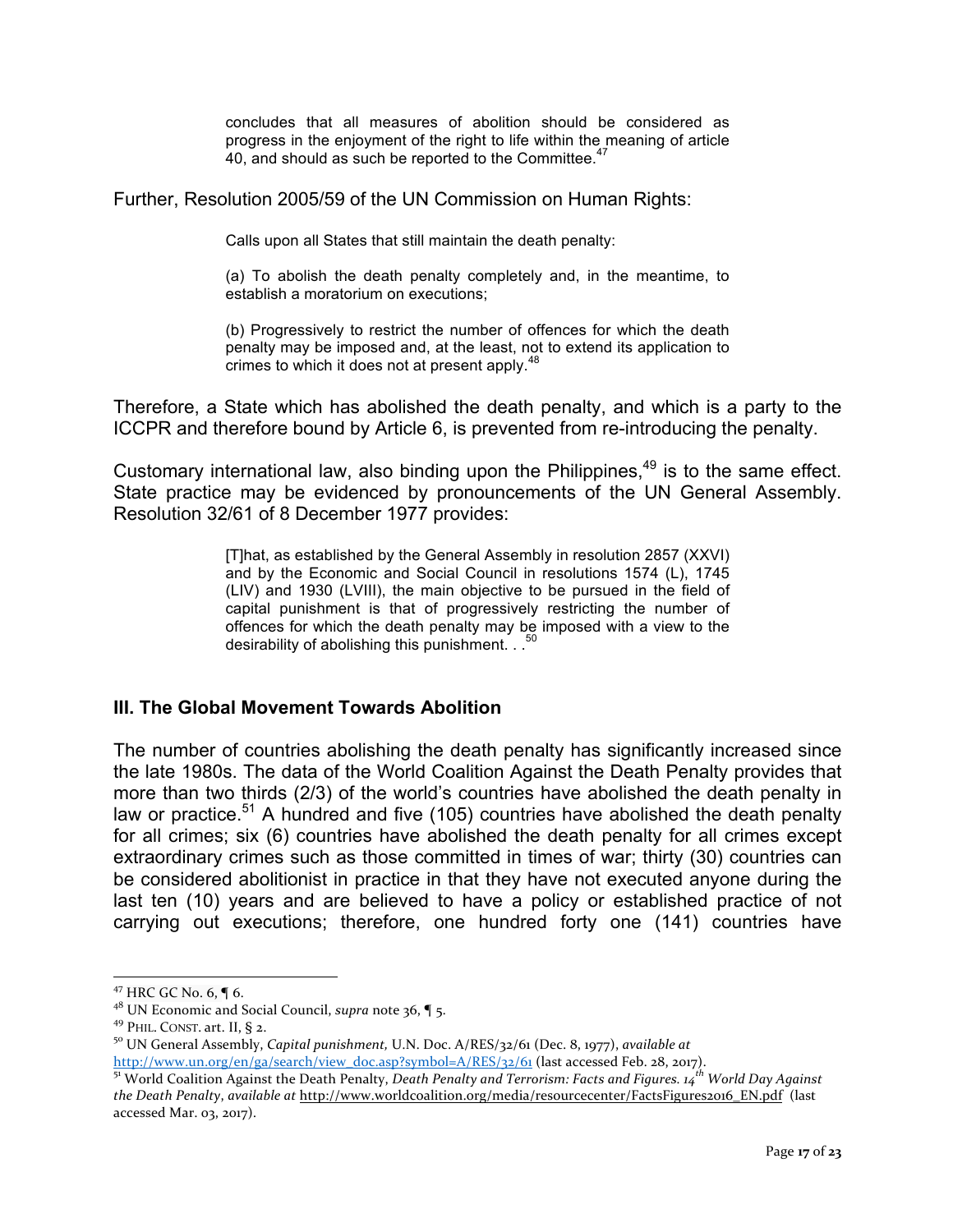concludes that all measures of abolition should be considered as progress in the enjoyment of the right to life within the meaning of article 40, and should as such be reported to the Committee.<sup>47</sup>

Further, Resolution 2005/59 of the UN Commission on Human Rights:

Calls upon all States that still maintain the death penalty:

(a) To abolish the death penalty completely and, in the meantime, to establish a moratorium on executions;

(b) Progressively to restrict the number of offences for which the death penalty may be imposed and, at the least, not to extend its application to crimes to which it does not at present apply.<sup>48</sup>

Therefore, a State which has abolished the death penalty, and which is a party to the ICCPR and therefore bound by Article 6, is prevented from re-introducing the penalty.

Customary international law, also binding upon the Philippines,  $49$  is to the same effect. State practice may be evidenced by pronouncements of the UN General Assembly. Resolution 32/61 of 8 December 1977 provides:

> [T]hat, as established by the General Assembly in resolution 2857 (XXVI) and by the Economic and Social Council in resolutions 1574 (L), 1745 (LIV) and 1930 (LVIII), the main objective to be pursued in the field of capital punishment is that of progressively restricting the number of offences for which the death penalty may be imposed with a view to the desirability of abolishing this punishment. . .<sup>5</sup>

## **III. The Global Movement Towards Abolition**

The number of countries abolishing the death penalty has significantly increased since the late 1980s. The data of the World Coalition Against the Death Penalty provides that more than two thirds (2/3) of the world's countries have abolished the death penalty in law or practice.<sup>51</sup> A hundred and five (105) countries have abolished the death penalty for all crimes; six (6) countries have abolished the death penalty for all crimes except extraordinary crimes such as those committed in times of war; thirty (30) countries can be considered abolitionist in practice in that they have not executed anyone during the last ten (10) years and are believed to have a policy or established practice of not carrying out executions; therefore, one hundred forty one (141) countries have

<sup>&</sup>lt;sup>47</sup> HRC GC No. 6,  $\P$  6.<br><sup>48</sup> UN Economic and Social Council, *supra* note 36,  $\P$  5.

<sup>&</sup>lt;sup>49</sup> PHIL. CONST. art. II, § 2.<br><sup>50</sup> UN General Assembly, *Capital punishment*, U.N. Doc. A/RES/32/61 (Dec. 8, 1977), *available at* 

http://www.un.org/en/ga/search/view\_doc.asp?symbol= $A/RES/32/61$  (last accessed Feb. 28, 2017).<br><sup>51</sup> World Coalition Against the Death Penalty, *Death Penalty and Terrorism: Facts and Figures.* 14<sup>th</sup> World Day Against *the Death Penalty, available at http://www.worldcoalition.org/media/resourcecenter/FactsFigures2016\_EN.pdf* (last accessed Mar. 03, 2017).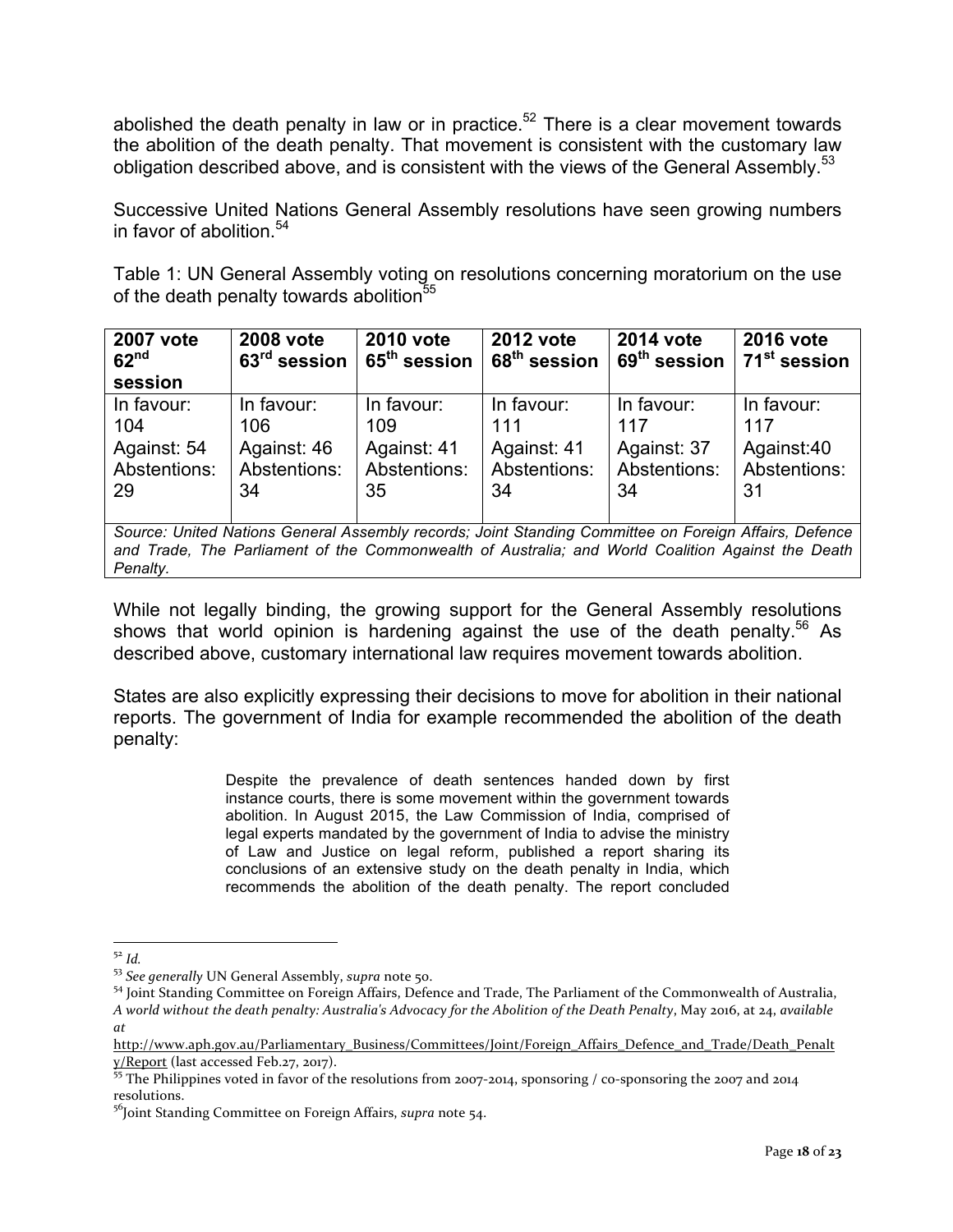abolished the death penalty in law or in practice.<sup>52</sup> There is a clear movement towards the abolition of the death penalty. That movement is consistent with the customary law obligation described above, and is consistent with the views of the General Assembly.<sup>53</sup>

Successive United Nations General Assembly resolutions have seen growing numbers in favor of abolition.<sup>54</sup>

Table 1: UN General Assembly voting on resolutions concerning moratorium on the use of the death penalty towards abolition<sup>55</sup>

| 2007 vote<br>62 <sup>nd</sup><br>session                                                              | 2008 vote<br>63 <sup>rd</sup> session | 2010 vote<br>65 <sup>th</sup> session | 2012 vote<br>68 <sup>th</sup> session | <b>2014 vote</b><br>69 <sup>th</sup> session | <b>2016 vote</b><br>71 <sup>st</sup> session |
|-------------------------------------------------------------------------------------------------------|---------------------------------------|---------------------------------------|---------------------------------------|----------------------------------------------|----------------------------------------------|
| In favour:                                                                                            | In favour:                            | In favour:                            | In favour:                            | In favour:                                   | In favour:                                   |
|                                                                                                       |                                       |                                       |                                       |                                              |                                              |
| 104                                                                                                   | 106                                   | 109                                   | 111                                   | 117                                          | 117                                          |
| Against: 54                                                                                           | Against: 46                           | Against: 41                           | Against: 41                           | Against: 37                                  | Against:40                                   |
| Abstentions:                                                                                          | Abstentions:                          | Abstentions:                          | Abstentions:                          | Abstentions:                                 | Abstentions:                                 |
| 29                                                                                                    | 34                                    | 35                                    | 34                                    | 34                                           | 31                                           |
|                                                                                                       |                                       |                                       |                                       |                                              |                                              |
|                                                                                                       |                                       |                                       |                                       |                                              |                                              |
| Source: United Nations General Assembly records; Joint Standing Committee on Foreign Affairs, Defence |                                       |                                       |                                       |                                              |                                              |

*and Trade, The Parliament of the Commonwealth of Australia; and World Coalition Against the Death Penalty.*

While not legally binding, the growing support for the General Assembly resolutions shows that world opinion is hardening against the use of the death penalty.<sup>56</sup> As described above, customary international law requires movement towards abolition.

States are also explicitly expressing their decisions to move for abolition in their national reports. The government of India for example recommended the abolition of the death penalty:

> Despite the prevalence of death sentences handed down by first instance courts, there is some movement within the government towards abolition. In August 2015, the Law Commission of India, comprised of legal experts mandated by the government of India to advise the ministry of Law and Justice on legal reform, published a report sharing its conclusions of an extensive study on the death penalty in India, which recommends the abolition of the death penalty. The report concluded

<sup>&</sup>lt;sup>52</sup> Id.<br><sup>53</sup> See generally UN General Assembly, *supra* note 50.<br><sup>54</sup> Joint Standing Committee on Foreign Affairs, Defence and Trade, The Parliament of the Commonwealth of Australia, *A* world without the death penalty: Australia's Advocacy for the Abolition of the Death Penalty, May 2016, at 24, available *at*

http://www.aph.gov.au/Parliamentary\_Business/Committees/Joint/Foreign\_Affairs\_Defence\_and\_Trade/Death\_Penalt  $\frac{y}{\text{Report}}$  (last accessed Feb.27, 2017).<br><sup>55</sup> The Philippines voted in favor of the resolutions from 2007-2014, sponsoring / co-sponsoring the 2007 and 2014

resolutions. 

<sup>&</sup>lt;sup>56</sup>Joint Standing Committee on Foreign Affairs, *supra* note 54.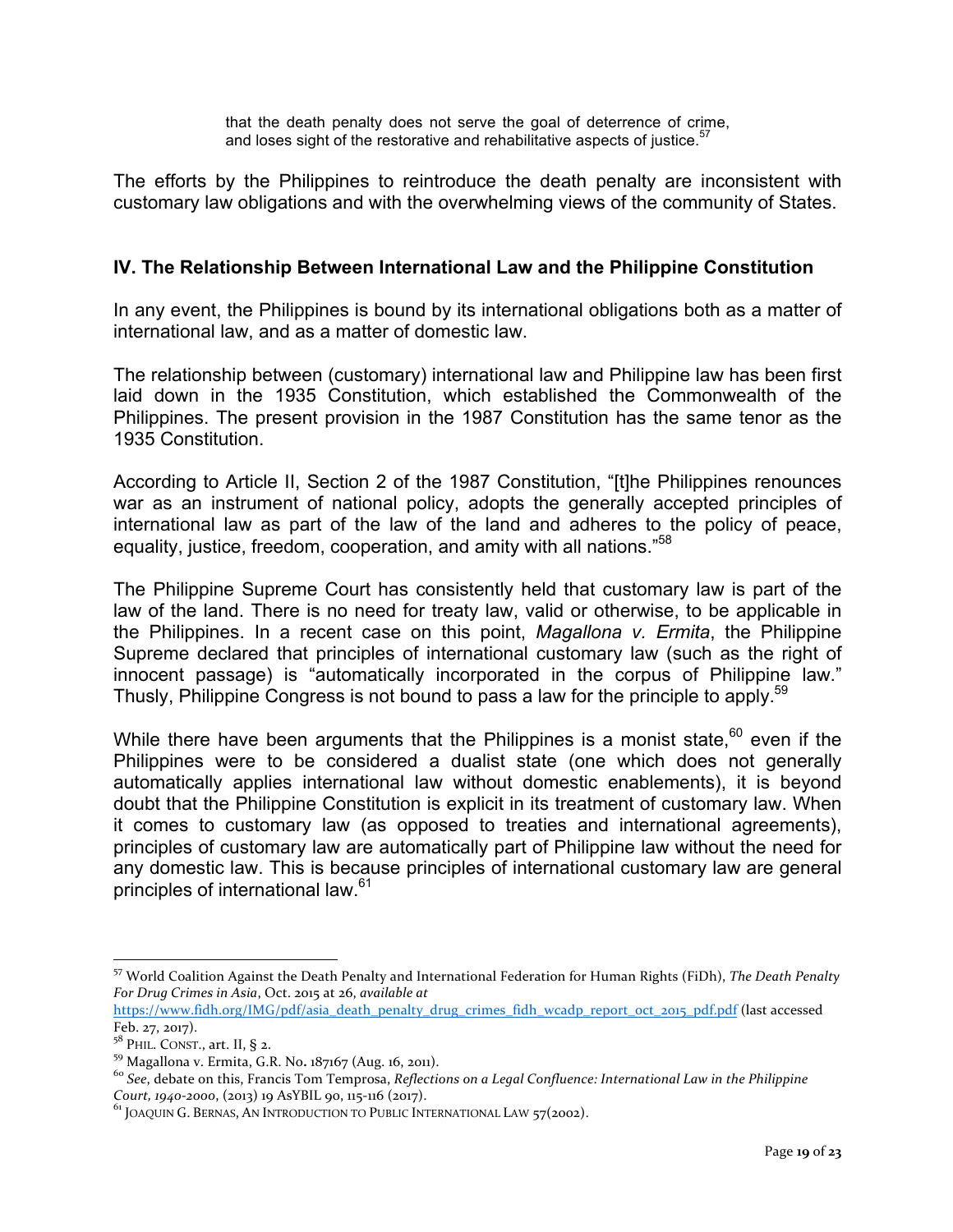that the death penalty does not serve the goal of deterrence of crime, and loses sight of the restorative and rehabilitative aspects of justice.  $57$ 

The efforts by the Philippines to reintroduce the death penalty are inconsistent with customary law obligations and with the overwhelming views of the community of States.

#### **IV. The Relationship Between International Law and the Philippine Constitution**

In any event, the Philippines is bound by its international obligations both as a matter of international law, and as a matter of domestic law.

The relationship between (customary) international law and Philippine law has been first laid down in the 1935 Constitution, which established the Commonwealth of the Philippines. The present provision in the 1987 Constitution has the same tenor as the 1935 Constitution.

According to Article II, Section 2 of the 1987 Constitution, "[t]he Philippines renounces war as an instrument of national policy, adopts the generally accepted principles of international law as part of the law of the land and adheres to the policy of peace, equality, justice, freedom, cooperation, and amity with all nations."<sup>58</sup>

The Philippine Supreme Court has consistently held that customary law is part of the law of the land. There is no need for treaty law, valid or otherwise, to be applicable in the Philippines. In a recent case on this point, *Magallona v. Ermita*, the Philippine Supreme declared that principles of international customary law (such as the right of innocent passage) is "automatically incorporated in the corpus of Philippine law." Thusly, Philippine Congress is not bound to pass a law for the principle to apply.<sup>59</sup>

While there have been arguments that the Philippines is a monist state, $60$  even if the Philippines were to be considered a dualist state (one which does not generally automatically applies international law without domestic enablements), it is beyond doubt that the Philippine Constitution is explicit in its treatment of customary law. When it comes to customary law (as opposed to treaties and international agreements), principles of customary law are automatically part of Philippine law without the need for any domestic law. This is because principles of international customary law are general principles of international law.<sup>61</sup>

<sup>57</sup> World Coalition Against the Death Penalty and International Federation for Human Rights (FiDh), The Death Penalty *For Drug Crimes in Asia, Oct. 2015 at 26, available at* 

https://www.fidh.org/IMG/pdf/asia\_death\_penalty\_drug\_crimes\_fidh\_wcadp\_report\_oct\_2015\_pdf.pdf (last accessed Feb. 27, 2017).<br> $5^8$  PHIL. CONST., art. II, § 2.

<sup>&</sup>lt;sup>59</sup> Magallona v. Ermita, G.R. No. 187167 (Aug. 16, 2011).<br><sup>60</sup> See, debate on this, Francis Tom Temprosa, *Reflections on a Legal Confluence: International Law in the Philippine*<br>Court, 1940-2000, (2013) 19 AsYBIL 90, 11

<sup>&</sup>lt;sup>61</sup> JOAQUIN G. BERNAS, AN INTRODUCTION TO PUBLIC INTERNATIONAL LAW 57(2002).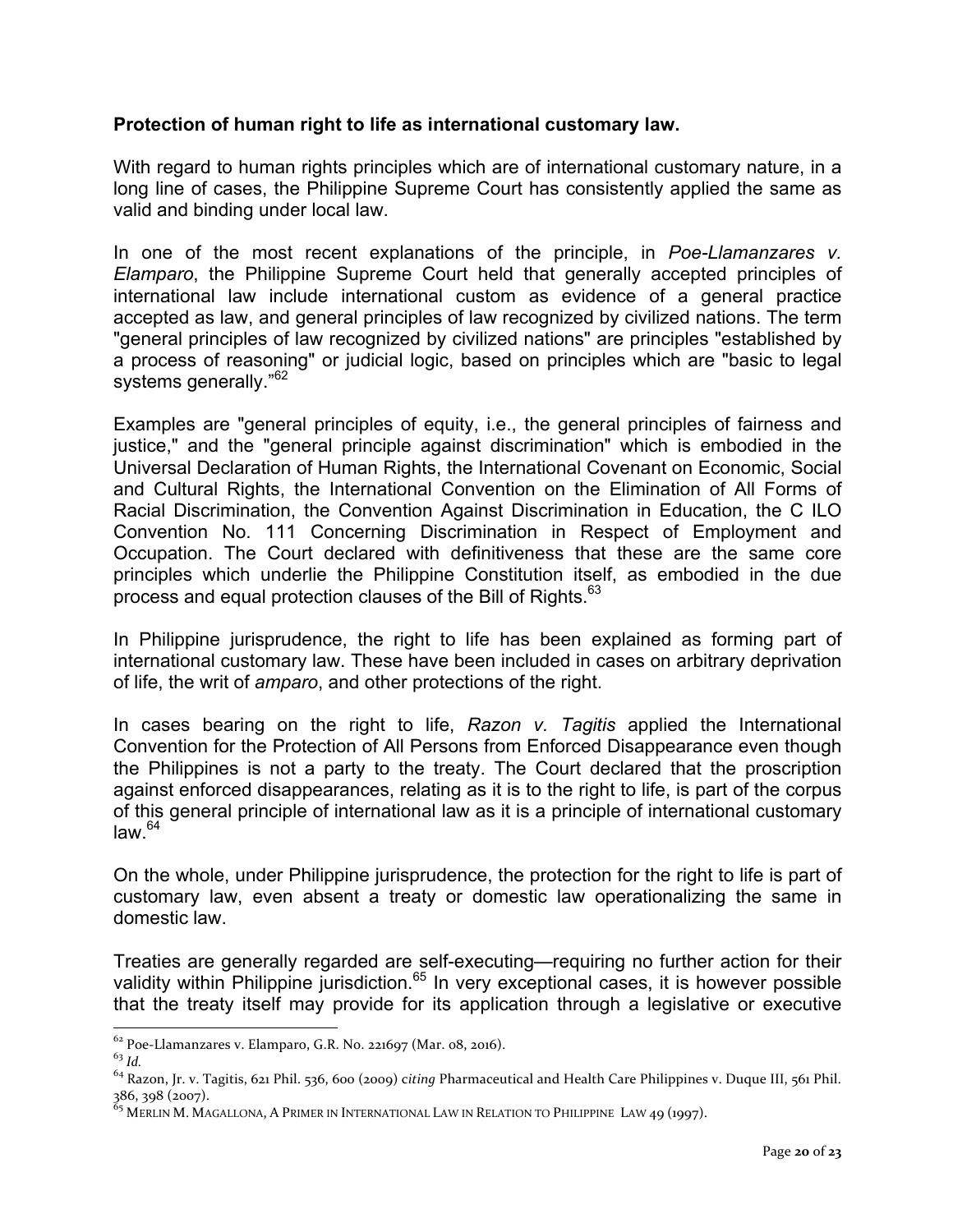#### **Protection of human right to life as international customary law.**

With regard to human rights principles which are of international customary nature, in a long line of cases, the Philippine Supreme Court has consistently applied the same as valid and binding under local law.

In one of the most recent explanations of the principle, in *Poe-Llamanzares v. Elamparo*, the Philippine Supreme Court held that generally accepted principles of international law include international custom as evidence of a general practice accepted as law, and general principles of law recognized by civilized nations. The term "general principles of law recognized by civilized nations" are principles "established by a process of reasoning" or judicial logic, based on principles which are "basic to legal systems generally."<sup>62</sup>

Examples are "general principles of equity, i.e., the general principles of fairness and justice," and the "general principle against discrimination" which is embodied in the Universal Declaration of Human Rights, the International Covenant on Economic, Social and Cultural Rights, the International Convention on the Elimination of All Forms of Racial Discrimination, the Convention Against Discrimination in Education, the C ILO Convention No. 111 Concerning Discrimination in Respect of Employment and Occupation. The Court declared with definitiveness that these are the same core principles which underlie the Philippine Constitution itself, as embodied in the due process and equal protection clauses of the Bill of Rights.<sup>63</sup>

In Philippine jurisprudence, the right to life has been explained as forming part of international customary law. These have been included in cases on arbitrary deprivation of life, the writ of *amparo*, and other protections of the right.

In cases bearing on the right to life, *Razon v. Tagitis* applied the International Convention for the Protection of All Persons from Enforced Disappearance even though the Philippines is not a party to the treaty. The Court declared that the proscription against enforced disappearances, relating as it is to the right to life, is part of the corpus of this general principle of international law as it is a principle of international customary  $law<sup>64</sup>$ 

On the whole, under Philippine jurisprudence, the protection for the right to life is part of customary law, even absent a treaty or domestic law operationalizing the same in domestic law.

Treaties are generally regarded are self-executing—requiring no further action for their validity within Philippine jurisdiction.<sup>65</sup> In very exceptional cases, it is however possible that the treaty itself may provide for its application through a legislative or executive

 $62 \text{Poe-Llamanzares v. Elamparo, G.R. No. 221697 (Mar. 08, 2016).$ <br> $63 \text{ Id}$ 

<sup>&</sup>lt;sup>64</sup> Razon, Jr. v. Tagitis, 621 Phil. 536, 600 (2009) citing Pharmaceutical and Health Care Philippines v. Duque III, 561 Phil.<br>386, 398 (2007).

 $^{65}$  Merlin M. Magallona, A Primer in International Law in Relation to Philippine Law 49 (1997).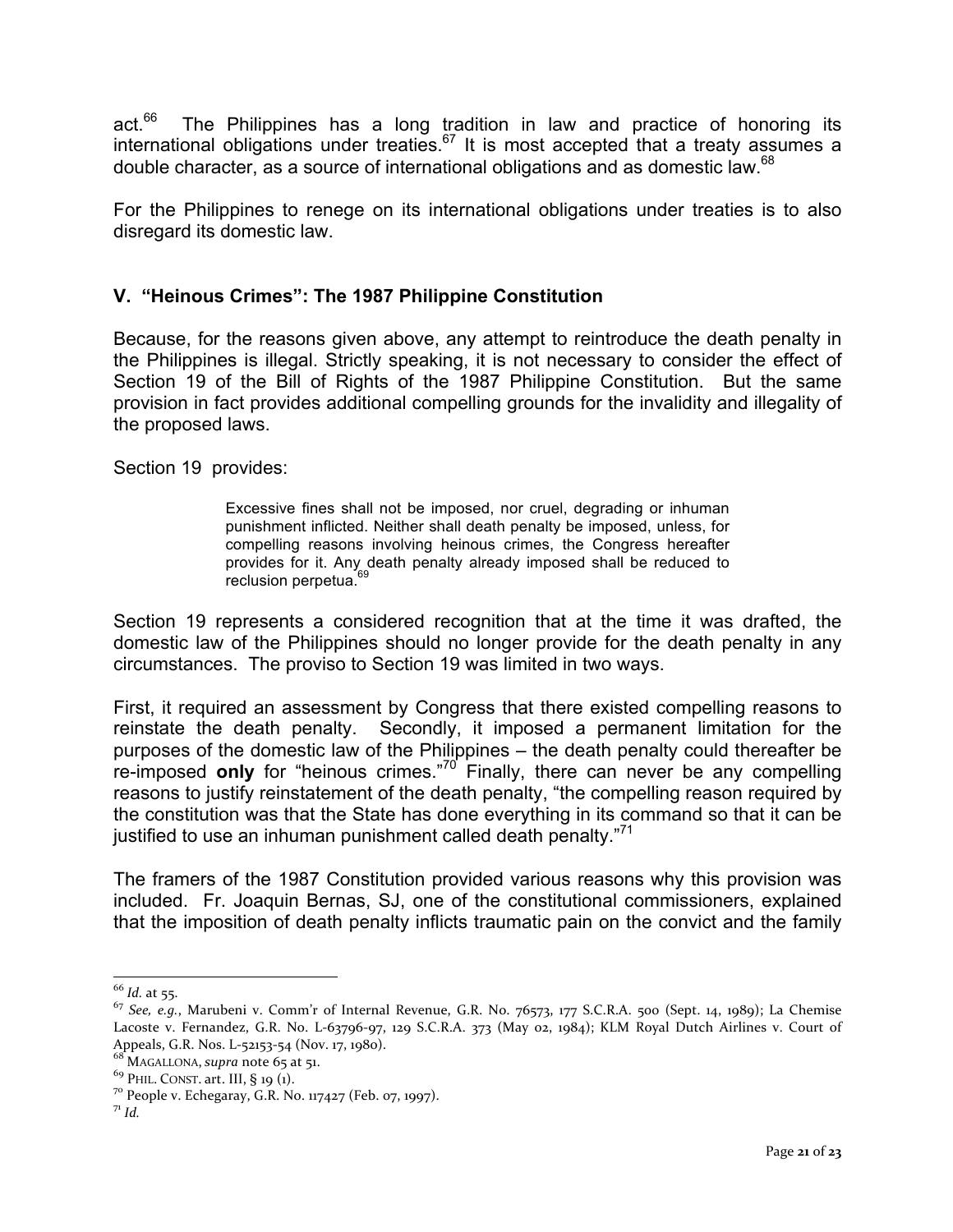act. $66$  The Philippines has a long tradition in law and practice of honoring its international obligations under treaties. $67$  It is most accepted that a treaty assumes a double character, as a source of international obligations and as domestic law.<sup>68</sup>

For the Philippines to renege on its international obligations under treaties is to also disregard its domestic law.

## **V. "Heinous Crimes": The 1987 Philippine Constitution**

Because, for the reasons given above, any attempt to reintroduce the death penalty in the Philippines is illegal. Strictly speaking, it is not necessary to consider the effect of Section 19 of the Bill of Rights of the 1987 Philippine Constitution. But the same provision in fact provides additional compelling grounds for the invalidity and illegality of the proposed laws.

Section 19 provides:

Excessive fines shall not be imposed, nor cruel, degrading or inhuman punishment inflicted. Neither shall death penalty be imposed, unless, for compelling reasons involving heinous crimes, the Congress hereafter provides for it. Any death penalty already imposed shall be reduced to reclusion perpetua.<sup>6</sup>

Section 19 represents a considered recognition that at the time it was drafted, the domestic law of the Philippines should no longer provide for the death penalty in any circumstances. The proviso to Section 19 was limited in two ways.

First, it required an assessment by Congress that there existed compelling reasons to reinstate the death penalty. Secondly, it imposed a permanent limitation for the purposes of the domestic law of the Philippines – the death penalty could thereafter be re-imposed **only** for "heinous crimes." <sup>70</sup> Finally, there can never be any compelling reasons to justify reinstatement of the death penalty, "the compelling reason required by the constitution was that the State has done everything in its command so that it can be justified to use an inhuman punishment called death penalty."<sup>71</sup>

The framers of the 1987 Constitution provided various reasons why this provision was included. Fr. Joaquin Bernas, SJ, one of the constitutional commissioners, explained that the imposition of death penalty inflicts traumatic pain on the convict and the family

<sup>66</sup> *Id.* at 55.

 $^{67}$  *See, e.g.*, Marubeni v. Comm'r of Internal Revenue, G.R. No. 76573, 177 S.C.R.A. 500 (Sept. 14, 1989); La Chemise Lacoste v. Fernandez, G.R. No. L-63796-97, 129 S.C.R.A. 373 (May 02, 1984); KLM Royal Dutch Airlines v. Court of Appeals, G.R. Nos. L-52153-54 (Nov. 17, 1980).

 $68^{\circ}$  MAGALLONA, *supra* note 65 at 51.<br><sup>69</sup> PHIL. CONST. art. III, § 19 (1).

<sup>&</sup>lt;sup>70</sup> People v. Echegaray, G.R. No. 117427 (Feb. 07, 1997).  $^{71}$  *Id.*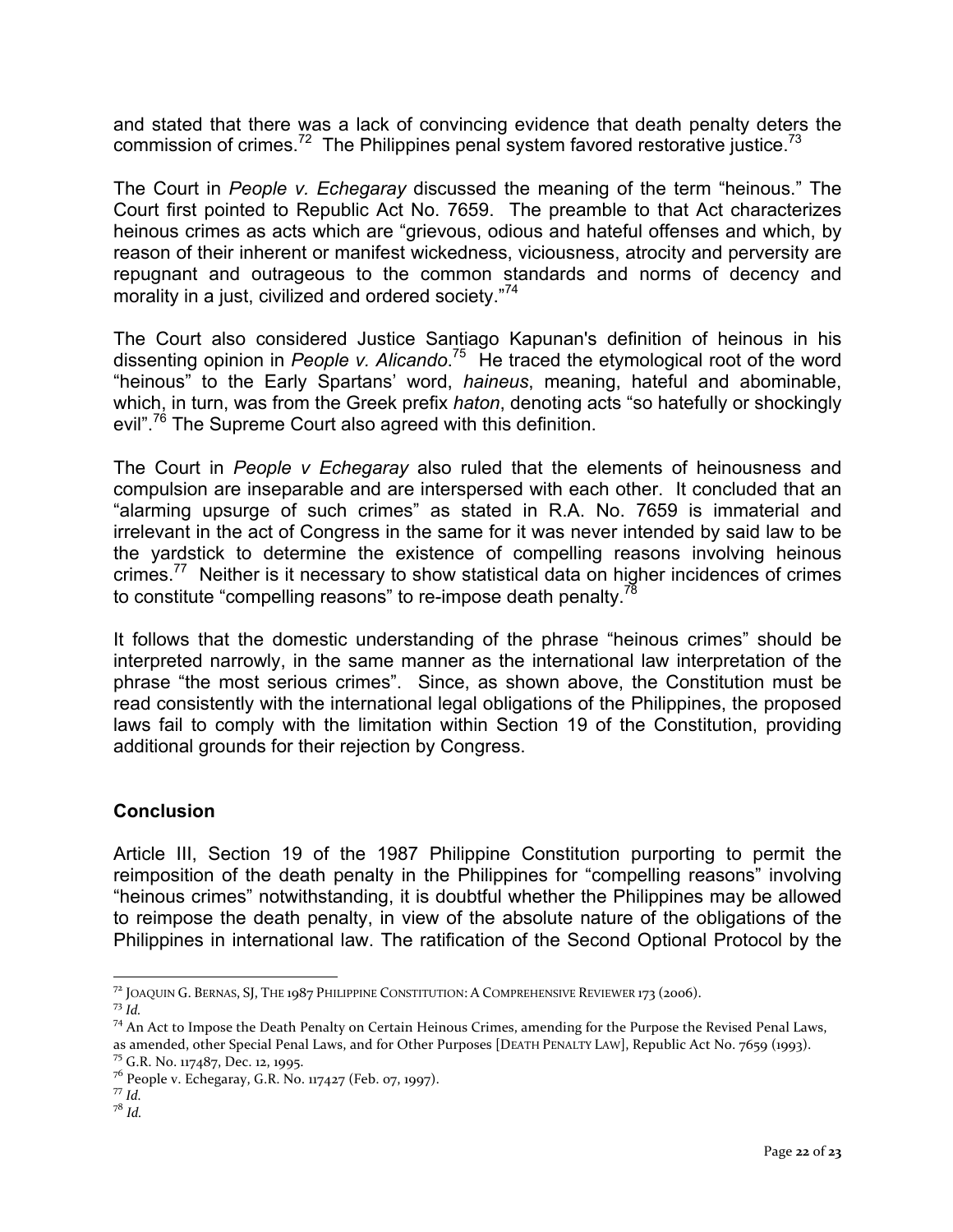and stated that there was a lack of convincing evidence that death penalty deters the commission of crimes.<sup>72</sup> The Philippines penal system favored restorative justice.<sup>73</sup>

The Court in *People v. Echegaray* discussed the meaning of the term "heinous." The Court first pointed to Republic Act No. 7659. The preamble to that Act characterizes heinous crimes as acts which are "grievous, odious and hateful offenses and which, by reason of their inherent or manifest wickedness, viciousness, atrocity and perversity are repugnant and outrageous to the common standards and norms of decency and morality in a just, civilized and ordered society."<sup>74</sup>

The Court also considered Justice Santiago Kapunan's definition of heinous in his dissenting opinion in *People v. Alicando*. 75 He traced the etymological root of the word "heinous" to the Early Spartans' word, *haineus*, meaning, hateful and abominable, which, in turn, was from the Greek prefix *haton*, denoting acts "so hatefully or shockingly evil".<sup>76</sup> The Supreme Court also agreed with this definition.

The Court in *People v Echegaray* also ruled that the elements of heinousness and compulsion are inseparable and are interspersed with each other. It concluded that an "alarming upsurge of such crimes" as stated in R.A. No. 7659 is immaterial and irrelevant in the act of Congress in the same for it was never intended by said law to be the yardstick to determine the existence of compelling reasons involving heinous crimes.77 Neither is it necessary to show statistical data on higher incidences of crimes to constitute "compelling reasons" to re-impose death penalty.<sup>78</sup>

It follows that the domestic understanding of the phrase "heinous crimes" should be interpreted narrowly, in the same manner as the international law interpretation of the phrase "the most serious crimes". Since, as shown above, the Constitution must be read consistently with the international legal obligations of the Philippines, the proposed laws fail to comply with the limitation within Section 19 of the Constitution, providing additional grounds for their rejection by Congress.

## **Conclusion**

Article III, Section 19 of the 1987 Philippine Constitution purporting to permit the reimposition of the death penalty in the Philippines for "compelling reasons" involving "heinous crimes" notwithstanding, it is doubtful whether the Philippines may be allowed to reimpose the death penalty, in view of the absolute nature of the obligations of the Philippines in international law. The ratification of the Second Optional Protocol by the

<sup>&</sup>lt;sup>72</sup> JOAQUIN G. BERNAS, SJ, THE 1987 PHILIPPINE CONSTITUTION: A COMPREHENSIVE REVIEWER 173 (2006).<br><sup>73</sup> *Id.* 74 An Act to Impose the Death Penalty on Certain Heinous Crimes, amending for the Purpose the Revised Penal Law

as amended, other Special Penal Laws, and for Other Purposes [DEATH PENALTY LAW], Republic Act No. 7659 (1993).<br><sup>75</sup> G.R. No. 117487, Dec. 12, 1995.

<sup>&</sup>lt;sup>76</sup> People v. Echegaray, G.R. No. 117427 (Feb. 07, 1997).  $\frac{77}{1}$  *Id.* 

<sup>78</sup> *Id.*